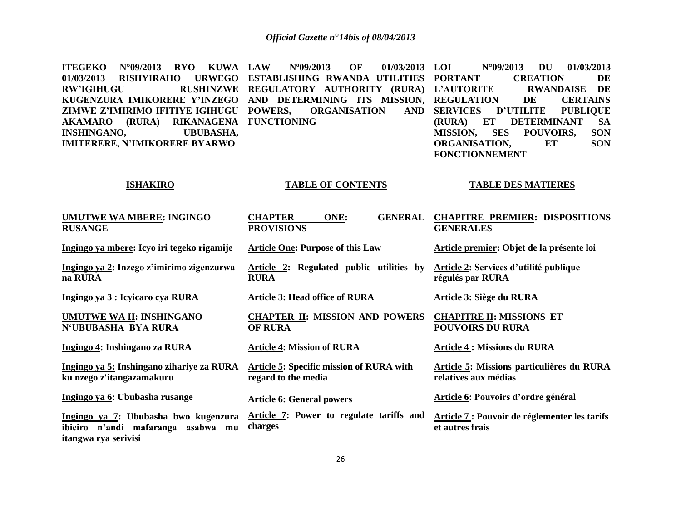| <b>KUWA LAW</b><br><b>ITEGEKO</b><br>$N^{\circ}09/2013$<br><b>RYO</b><br>01/03/2013<br><b>RISHYIRAHO</b><br><b>URWEGO</b><br><b>RW'IGIHUGU</b><br><b>RUSHINZWE</b><br>KUGENZURA IMIKORERE Y'INZEGO<br>ZIMWE Z'IMIRIMO IFITIYE IGIHUGU<br>(RURA) RIKANAGENA<br><b>AKAMARO</b><br><b>INSHINGANO,</b><br><b>UBUBASHA,</b><br><b>IMITERERE, N'IMIKORERE BYARWO</b> | N°09/2013<br>OF<br>01/03/2013<br>ESTABLISHING RWANDA UTILITIES<br>REGULATORY AUTHORITY (RURA)<br>AND DETERMINING ITS MISSION,<br>POWERS,<br><b>ORGANISATION</b><br><b>AND</b><br><b>FUNCTIONING</b> | $N^{\circ}09/2013$<br>01/03/2013<br>LOI<br><b>DU</b><br><b>PORTANT</b><br><b>CREATION</b><br>DE<br><b>L'AUTORITE</b><br><b>DE</b><br><b>RWANDAISE</b><br><b>REGULATION</b><br><b>CERTAINS</b><br>DE<br><b>SERVICES</b><br><b>D'UTILITE</b><br><b>PUBLIQUE</b><br>ET<br><b>DETERMINANT</b><br>(RURA)<br><b>SA</b><br><b>SES</b><br><b>SON</b><br><b>MISSION,</b><br>POUVOIRS,<br>ORGANISATION,<br><b>SON</b><br>ET<br><b>FONCTIONNEMENT</b> |  |
|----------------------------------------------------------------------------------------------------------------------------------------------------------------------------------------------------------------------------------------------------------------------------------------------------------------------------------------------------------------|-----------------------------------------------------------------------------------------------------------------------------------------------------------------------------------------------------|--------------------------------------------------------------------------------------------------------------------------------------------------------------------------------------------------------------------------------------------------------------------------------------------------------------------------------------------------------------------------------------------------------------------------------------------|--|
| <b>ISHAKIRO</b>                                                                                                                                                                                                                                                                                                                                                | <b>TABLE OF CONTENTS</b>                                                                                                                                                                            | <b>TABLE DES MATIERES</b>                                                                                                                                                                                                                                                                                                                                                                                                                  |  |
| <b>UMUTWE WA MBERE: INGINGO</b><br><b>RUSANGE</b>                                                                                                                                                                                                                                                                                                              | <b>CHAPTER</b><br>ONE:<br><b>GENERAL</b><br><b>PROVISIONS</b>                                                                                                                                       | <b>CHAPITRE PREMIER: DISPOSITIONS</b><br><b>GENERALES</b>                                                                                                                                                                                                                                                                                                                                                                                  |  |
| Ingingo ya mbere: Icyo iri tegeko rigamije                                                                                                                                                                                                                                                                                                                     | <b>Article One: Purpose of this Law</b>                                                                                                                                                             | Article premier: Objet de la présente loi                                                                                                                                                                                                                                                                                                                                                                                                  |  |
| Ingingo ya 2: Inzego z'imirimo zigenzurwa<br>na RURA                                                                                                                                                                                                                                                                                                           | Article 2: Regulated public utilities by<br><b>RURA</b>                                                                                                                                             | Article 2: Services d'utilité publique<br>régulés par RURA                                                                                                                                                                                                                                                                                                                                                                                 |  |
| Ingingo ya 3 : Icyicaro cya RURA                                                                                                                                                                                                                                                                                                                               | <b>Article 3: Head office of RURA</b>                                                                                                                                                               | Article 3: Siège du RURA                                                                                                                                                                                                                                                                                                                                                                                                                   |  |
| UMUTWE WA II: INSHINGANO<br>N'UBUBASHA BYA RURA                                                                                                                                                                                                                                                                                                                | <b>CHAPTER II: MISSION AND POWERS</b><br><b>OF RURA</b>                                                                                                                                             | <b>CHAPITRE II: MISSIONS ET</b><br><b>POUVOIRS DU RURA</b>                                                                                                                                                                                                                                                                                                                                                                                 |  |
| Ingingo 4: Inshingano za RURA                                                                                                                                                                                                                                                                                                                                  | <b>Article 4: Mission of RURA</b>                                                                                                                                                                   | <b>Article 4 : Missions du RURA</b>                                                                                                                                                                                                                                                                                                                                                                                                        |  |
| Ingingo ya 5: Inshingano zihariye za RURA<br>ku nzego z'itangazamakuru                                                                                                                                                                                                                                                                                         | <b>Article 5: Specific mission of RURA with</b><br>regard to the media                                                                                                                              | Article 5: Missions particulières du RURA<br>relatives aux médias                                                                                                                                                                                                                                                                                                                                                                          |  |
| Ingingo ya 6: Ububasha rusange                                                                                                                                                                                                                                                                                                                                 | <b>Article 6: General powers</b>                                                                                                                                                                    | Article 6: Pouvoirs d'ordre général                                                                                                                                                                                                                                                                                                                                                                                                        |  |
| Ingingo ya 7: Ububasha bwo kugenzura<br>ibiciro n'andi mafaranga asabwa mu<br>itangwa rya serivisi                                                                                                                                                                                                                                                             | Article 7: Power to regulate tariffs and<br>charges                                                                                                                                                 | Article 7 : Pouvoir de réglementer les tarifs<br>et autres frais                                                                                                                                                                                                                                                                                                                                                                           |  |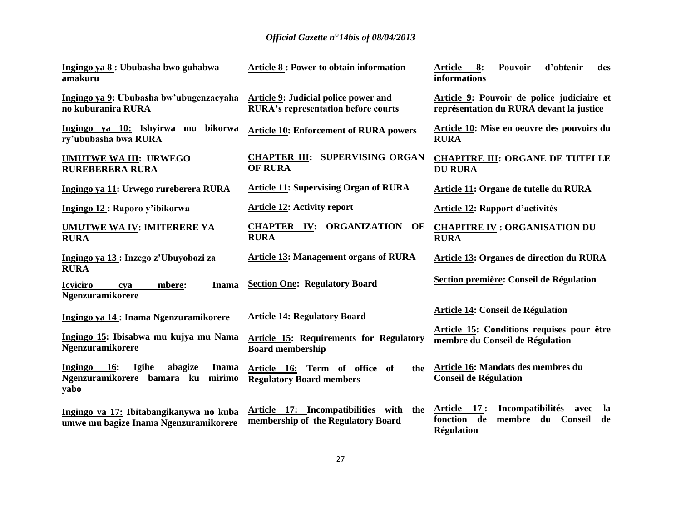| Ingingo ya 8: Ububasha bwo guhabwa<br>amakuru                                                             | <b>Article 8 : Power to obtain information</b>                                            | <b>Article</b><br>8:<br>Pouvoir<br>d'obtenir<br>des<br>informations                                                   |
|-----------------------------------------------------------------------------------------------------------|-------------------------------------------------------------------------------------------|-----------------------------------------------------------------------------------------------------------------------|
| Ingingo ya 9: Ububasha bw'ubugenzacyaha<br>no kuburanira RURA                                             | <b>Article 9: Judicial police power and</b><br><b>RURA's representation before courts</b> | Article 9: Pouvoir de police judiciaire et<br>représentation du RURA devant la justice                                |
| Ingingo ya 10: Ishyirwa mu bikorwa<br>ry'ububasha bwa RURA                                                | <b>Article 10: Enforcement of RURA powers</b>                                             | Article 10: Mise en oeuvre des pouvoirs du<br><b>RURA</b>                                                             |
| <b>UMUTWE WA III: URWEGO</b><br><b>RUREBERERA RURA</b>                                                    | <b>CHAPTER III: SUPERVISING ORGAN</b><br><b>OF RURA</b>                                   | <b>CHAPITRE III: ORGANE DE TUTELLE</b><br><b>DU RURA</b>                                                              |
| Ingingo ya 11: Urwego rureberera RURA                                                                     | <b>Article 11: Supervising Organ of RURA</b>                                              | Article 11: Organe de tutelle du RURA                                                                                 |
| Ingingo 12 : Raporo y'ibikorwa                                                                            | <b>Article 12: Activity report</b>                                                        | <b>Article 12: Rapport d'activités</b>                                                                                |
| <b>UMUTWE WA IV: IMITERERE YA</b><br><b>RURA</b>                                                          | <b>CHAPTER IV: ORGANIZATION</b><br>OF<br><b>RURA</b>                                      | <b>CHAPITRE IV: ORGANISATION DU</b><br><b>RURA</b>                                                                    |
| Ingingo ya 13: Inzego z'Ubuyobozi za                                                                      | <b>Article 13: Management organs of RURA</b>                                              | Article 13: Organes de direction du RURA                                                                              |
| <b>RURA</b><br><b>Icyiciro</b><br>mbere:<br>Inama<br>cya<br><b>Ngenzuramikorere</b>                       | <b>Section One: Regulatory Board</b>                                                      | Section première: Conseil de Régulation                                                                               |
| Ingingo ya 14 : Inama Ngenzuramikorere                                                                    | <b>Article 14: Regulatory Board</b>                                                       | Article 14: Conseil de Régulation                                                                                     |
| Ingingo 15: Ibisabwa mu kujya mu Nama<br><b>Ngenzuramikorere</b>                                          | Article 15: Requirements for Regulatory<br><b>Board membership</b>                        | Article 15: Conditions requises pour être<br>membre du Conseil de Régulation                                          |
| Igihe<br>Ingingo<br><b>16:</b><br>abagize<br><b>Inama</b><br>Ngenzuramikorere bamara ku<br>mirimo<br>yabo | Article 16: Term of office of<br>the<br><b>Regulatory Board members</b>                   | Article 16: Mandats des membres du<br><b>Conseil de Régulation</b>                                                    |
| Ingingo ya 17: Ibitabangikanywa no kuba<br>umwe mu bagize Inama Ngenzuramikorere                          | Article 17: Incompatibilities with the<br>membership of the Regulatory Board              | <b>Incompatibilités</b><br>Article 17:<br>avec<br>- la<br>fonction de<br>membre du Conseil<br>de<br><b>Régulation</b> |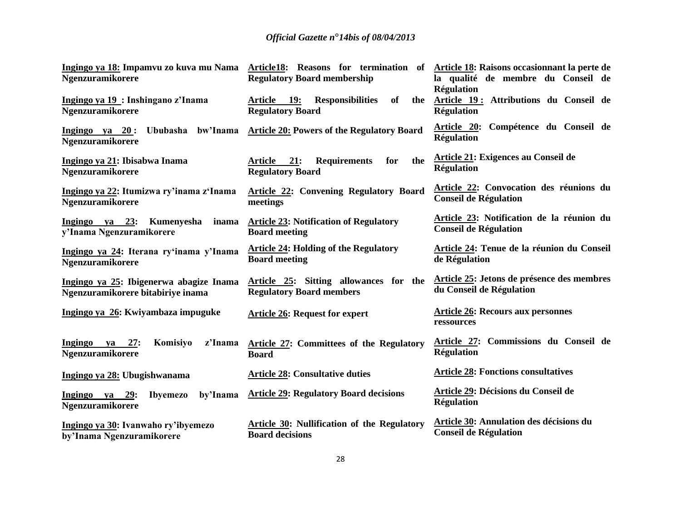| <b>Ngenzuramikorere</b>                                                      | Ingingo ya 18: Impamvu zo kuva mu Nama Article18: Reasons for termination of Article 18: Raisons occasionnant la perte de<br><b>Regulatory Board membership</b> | la qualité de membre du Conseil de                                               |
|------------------------------------------------------------------------------|-----------------------------------------------------------------------------------------------------------------------------------------------------------------|----------------------------------------------------------------------------------|
| Ingingo ya 19: Inshingano z'Inama<br><b>Ngenzuramikorere</b>                 | of<br>Article 19:<br><b>Responsibilities</b><br>the<br><b>Regulatory Board</b>                                                                                  | <b>Régulation</b><br>Article 19: Attributions du Conseil de<br><b>Régulation</b> |
| Ingingo ya 20: Ububasha bw'Inama<br><b>Ngenzuramikorere</b>                  | <b>Article 20: Powers of the Regulatory Board</b>                                                                                                               | Article 20: Compétence du Conseil de<br><b>Régulation</b>                        |
| Ingingo ya 21: Ibisabwa Inama<br><b>Ngenzuramikorere</b>                     | the<br>Article 21:<br><b>Requirements</b><br>for<br><b>Regulatory Board</b>                                                                                     | Article 21: Exigences au Conseil de<br><b>Régulation</b>                         |
| Ingingo ya 22: Itumizwa ry'inama z'Inama<br><b>Ngenzuramikorere</b>          | <b>Article 22: Convening Regulatory Board</b><br>meetings                                                                                                       | Article 22: Convocation des réunions du<br><b>Conseil de Régulation</b>          |
| Ingingo ya 23: Kumenyesha<br>y'Inama Ngenzuramikorere                        | inama Article 23: Notification of Regulatory<br><b>Board meeting</b>                                                                                            | Article 23: Notification de la réunion du<br><b>Conseil de Régulation</b>        |
| Ingingo ya 24: Iterana ry'inama y'Inama<br>Ngenzuramikorere                  | <b>Article 24: Holding of the Regulatory</b><br><b>Board meeting</b>                                                                                            | Article 24: Tenue de la réunion du Conseil<br>de Régulation                      |
| Ingingo ya 25: Ibigenerwa abagize Inama<br>Ngenzuramikorere bitabiriye inama | Article 25: Sitting allowances for the<br><b>Regulatory Board members</b>                                                                                       | Article 25: Jetons de présence des membres<br>du Conseil de Régulation           |
| Ingingo ya 26: Kwiyambaza impuguke                                           | <b>Article 26: Request for expert</b>                                                                                                                           | <b>Article 26: Recours aux personnes</b><br>ressources                           |
| Ingingo ya 27:<br>Komisiyo<br>z'Inama<br>Ngenzuramikorere                    | Article 27: Committees of the Regulatory<br><b>Board</b>                                                                                                        | Article 27: Commissions du Conseil de<br><b>Régulation</b>                       |
| Ingingo ya 28: Ubugishwanama                                                 | <b>Article 28: Consultative duties</b>                                                                                                                          | <b>Article 28: Fonctions consultatives</b>                                       |
| Ingingo ya 29:<br><b>Ibyemezo</b><br>Ngenzuramikorere                        | by'Inama Article 29: Regulatory Board decisions                                                                                                                 | Article 29: Décisions du Conseil de<br><b>Régulation</b>                         |
| Ingingo ya 30: Ivanwaho ry'ibyemezo<br>by'Inama Ngenzuramikorere             | Article 30: Nullification of the Regulatory<br><b>Board decisions</b>                                                                                           | <b>Article 30: Annulation des décisions du</b><br><b>Conseil de Régulation</b>   |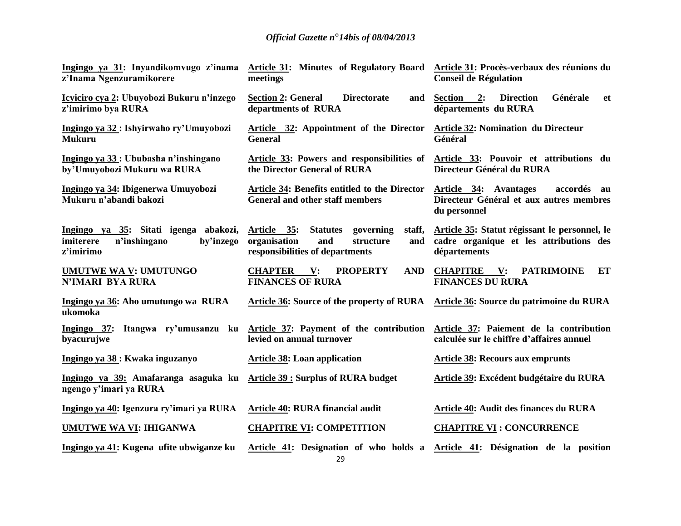| z'Inama Ngenzuramikorere                                                                     | Ingingo ya 31: Inyandikomvugo z'inama Article 31: Minutes of Regulatory Board Article 31: Procès-verbaux des réunions du<br>meetings | <b>Conseil de Régulation</b>                                                                             |
|----------------------------------------------------------------------------------------------|--------------------------------------------------------------------------------------------------------------------------------------|----------------------------------------------------------------------------------------------------------|
| Icyiciro cya 2: Ubuyobozi Bukuru n'inzego<br>z'imirimo bya RURA                              | <b>Section 2: General</b><br><b>Directorate</b><br>and<br>departments of RURA                                                        | <b>Direction</b><br>Générale<br><b>Section</b><br>2:<br>et<br>départements du RURA                       |
| Ingingo ya 32 : Ishyirwaho ry'Umuyobozi<br><b>Mukuru</b>                                     | Article 32: Appointment of the Director<br><b>General</b>                                                                            | <b>Article 32: Nomination du Directeur</b><br>Général                                                    |
| Ingingo ya 33 : Ububasha n'inshingano<br>by'Umuyobozi Mukuru wa RURA                         | Article 33: Powers and responsibilities of<br>the Director General of RURA                                                           | Article 33: Pouvoir et attributions du<br>Directeur Général du RURA                                      |
| Ingingo ya 34: Ibigenerwa Umuyobozi<br>Mukuru n'abandi bakozi                                | Article 34: Benefits entitled to the Director<br><b>General and other staff members</b>                                              | Article 34: Avantages<br>accordés au<br>Directeur Général et aux autres membres<br>du personnel          |
| Ingingo ya 35: Sitati igenga abakozi,<br>n'inshingano<br>imiterere<br>by'inzego<br>z'imirimo | staff,<br>Article 35:<br><b>Statutes</b><br>governing<br>organisation<br>and<br>structure<br>and<br>responsibilities of departments  | Article 35: Statut régissant le personnel, le<br>cadre organique et les attributions des<br>départements |
| <b>UMUTWE WA V: UMUTUNGO</b><br><b>N'IMARI BYA RURA</b>                                      | <b>CHAPTER</b><br>V:<br><b>PROPERTY</b><br><b>AND</b><br><b>FINANCES OF RURA</b>                                                     | <b>CHAPITRE</b> V:<br><b>PATRIMOINE</b><br>ET<br><b>FINANCES DU RURA</b>                                 |
| Ingingo ya 36: Aho umutungo wa RURA<br>ukomoka                                               | Article 36: Source of the property of RURA                                                                                           | Article 36: Source du patrimoine du RURA                                                                 |
| Ingingo 37: Itangwa ry'umusanzu<br>byacurujwe                                                | ku Article 37: Payment of the contribution<br>levied on annual turnover                                                              | Article 37: Paiement de la contribution<br>calculée sur le chiffre d'affaires annuel                     |
| Ingingo ya 38 : Kwaka inguzanyo                                                              | <b>Article 38: Loan application</b>                                                                                                  | <b>Article 38: Recours aux emprunts</b>                                                                  |
| Ingingo ya 39: Amafaranga asaguka ku<br>ngengo y'imari ya RURA                               | <b>Article 39 : Surplus of RURA budget</b>                                                                                           | Article 39: Excédent budgétaire du RURA                                                                  |
| Ingingo ya 40: Igenzura ry'imari ya RURA                                                     | Article 40: RURA financial audit                                                                                                     | Article 40: Audit des finances du RURA                                                                   |
| <b>UMUTWE WA VI: IHIGANWA</b>                                                                | <b>CHAPITRE VI: COMPETITION</b>                                                                                                      | <b>CHAPITRE VI : CONCURRENCE</b>                                                                         |
| Ingingo ya 41: Kugena ufite ubwiganze ku                                                     |                                                                                                                                      | Article 41: Designation of who holds a Article 41: Désignation de la position                            |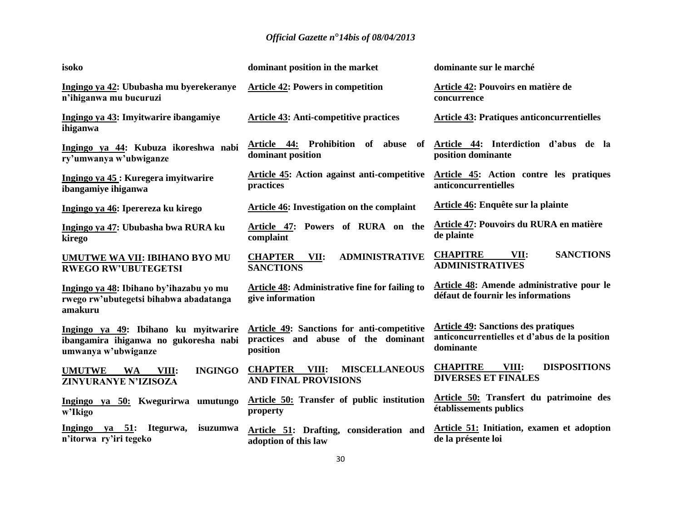| isoko                                                                                                | dominant position in the market                                                               | dominante sur le marché                                                                                  |
|------------------------------------------------------------------------------------------------------|-----------------------------------------------------------------------------------------------|----------------------------------------------------------------------------------------------------------|
| Ingingo ya 42: Ububasha mu byerekeranye<br>n'ihiganwa mu bucuruzi                                    | <b>Article 42: Powers in competition</b>                                                      | Article 42: Pouvoirs en matière de<br>concurrence                                                        |
| Ingingo ya 43: Imyitwarire ibangamiye<br>ihiganwa                                                    | <b>Article 43: Anti-competitive practices</b>                                                 | <b>Article 43: Pratiques anticoncurrentielles</b>                                                        |
| Ingingo ya 44: Kubuza ikoreshwa nabi<br>ry'umwanya w'ubwiganze                                       | Article 44: Prohibition of abuse of<br>dominant position                                      | Article 44: Interdiction d'abus de la<br>position dominante                                              |
| Ingingo ya 45 : Kuregera imyitwarire<br>ibangamiye ihiganwa                                          | Article 45: Action against anti-competitive<br>practices                                      | Article 45: Action contre les pratiques<br>anticoncurrentielles                                          |
| Ingingo ya 46: Iperereza ku kirego                                                                   | Article 46: Investigation on the complaint                                                    | Article 46: Enquête sur la plainte                                                                       |
| Ingingo ya 47: Ububasha bwa RURA ku<br>kirego                                                        | Powers of RURA on the<br>Article 47:<br>complaint                                             | Article 47: Pouvoirs du RURA en matière<br>de plainte                                                    |
| UMUTWE WA VII: IBIHANO BYO MU<br><b>RWEGO RW'UBUTEGETSI</b>                                          | <b>ADMINISTRATIVE</b><br><b>CHAPTER</b><br>VII:<br><b>SANCTIONS</b>                           | <b>CHAPITRE</b><br><b>SANCTIONS</b><br>VII:<br><b>ADMINISTRATIVES</b>                                    |
| Ingingo ya 48: Ibihano by'ihazabu yo mu<br>rwego rw'ubutegetsi bihabwa abadatanga<br>amakuru         | Article 48: Administrative fine for failing to<br>give information                            | Article 48: Amende administrative pour le<br>défaut de fournir les informations                          |
| Ingingo ya 49: Ibihano ku myitwarire<br>ibangamira ihiganwa no gukoresha nabi<br>umwanya w'ubwiganze | Article 49: Sanctions for anti-competitive<br>practices and abuse of the dominant<br>position | <b>Article 49: Sanctions des pratiques</b><br>anticoncurrentielles et d'abus de la position<br>dominante |
| <b>INGINGO</b><br><b>UMUTWE</b><br><b>WA</b><br>VIII:<br>ZINYURANYE N'IZISOZA                        | <b>MISCELLANEOUS</b><br><b>CHAPTER</b><br>VIII:<br><b>AND FINAL PROVISIONS</b>                | <b>CHAPITRE</b><br><b>DISPOSITIONS</b><br>VIII:<br><b>DIVERSES ET FINALES</b>                            |
| Ingingo ya 50: Kwegurirwa umutungo<br>w'Ikigo                                                        | Article 50: Transfer of public institution<br>property                                        | Article 50: Transfert du patrimoine des<br>établissements publics                                        |
| ya 51:<br>Itegurwa,<br>Ingingo<br>isuzumwa<br>n'itorwa ry'iri tegeko                                 | Article 51: Drafting, consideration and<br>adoption of this law                               | Article 51: Initiation, examen et adoption<br>de la présente loi                                         |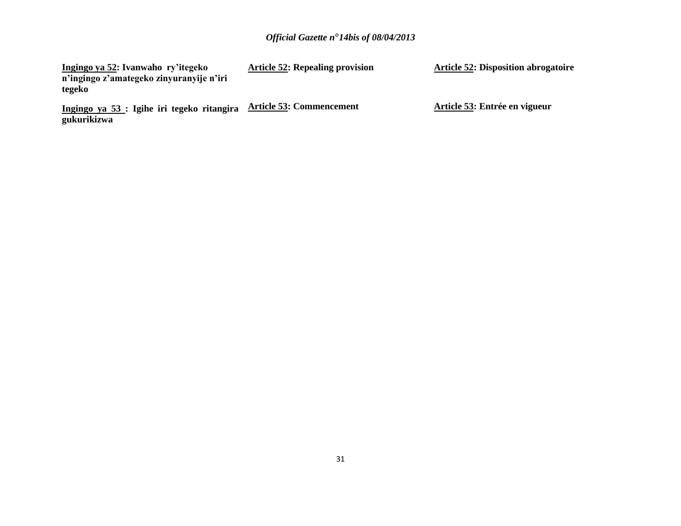| Ingingo ya 52: Ivanwaho ry'itegeko                        | <b>Article 52: Repealing provision</b> | <b>Article 52: Disposition abrogatoire</b> |
|-----------------------------------------------------------|----------------------------------------|--------------------------------------------|
| n'ingingo z'amategeko zinyuranyije n'iri                  |                                        |                                            |
| tegeko                                                    |                                        |                                            |
| Ingingo ya 53 : Igihe iri tegeko ritangira<br>gukurikizwa | <b>Article 53: Commencement</b>        | Article 53: Entrée en vigueur              |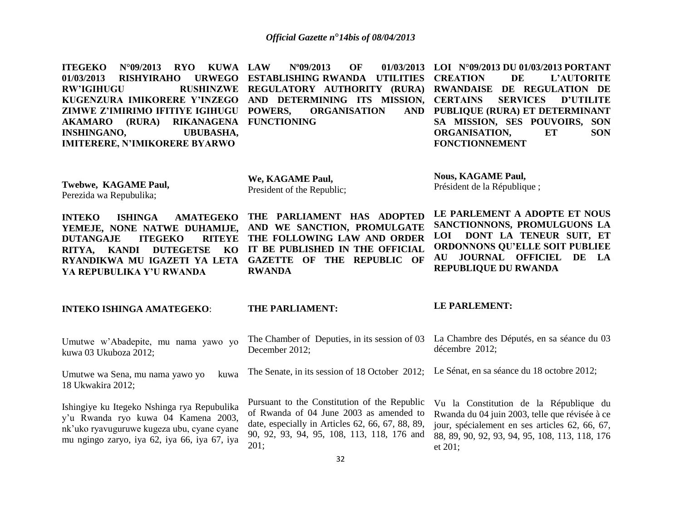**ITEGEKO N°09/2013 RYO KUWA 01/03/2013 RISHYIRAHO RW'IGIHUGU RUSHINZWE REGULATORY AUTHORITY (RURA) RWANDAISE DE REGULATION DE KUGENZURA IMIKORERE Y'INZEGO AND DETERMINING ITS MISSION, CERTAINS SERVICES D'UTILITE ZIMWE Z'IMIRIMO IFITIYE IGIHUGU AKAMARO (RURA) RIKANAGENA FUNCTIONING INSHINGANO, UBUBASHA, IMITERERE, N'IMIKORERE BYARWO N°09/2013 OF EXTABLISHING RWANDA UTILITIES CREATION PORGANISATION LOI N°09/2013 DU 01/03/2013 PORTANT CREATION DE L'AUTORITE PUBLIQUE (RURA) ET DETERMINANT SA MISSION, SES POUVOIRS, SON ORGANISATION, ET SON FONCTIONNEMENT** 

**Twebwe, KAGAME Paul,** Perezida wa Repubulika;

**We, KAGAME Paul,** President of the Republic; **Nous, KAGAME Paul,** Président de la République ;

**INTEKO ISHINGA AMATEGEKO THE PARLIAMENT HAS ADOPTED YEMEJE, NONE NATWE DUHAMIJE, AND WE SANCTION, PROMULGATE DUTANGAJE ITEGEKO RITYA, KANDI DUTEGETSE KO IT BE PUBLISHED IN THE OFFICIAL RYANDIKWA MU IGAZETI YA LETA GAZETTE OF THE REPUBLIC OF YA REPUBULIKA Y'U RWANDA**

**RITEYE THE FOLLOWING LAW AND ORDER RWANDA**

**LE PARLEMENT A ADOPTE ET NOUS SANCTIONNONS, PROMULGUONS LA LOI DONT LA TENEUR SUIT, ET ORDONNONS QU'ELLE SOIT PUBLIEE AU JOURNAL OFFICIEL DE LA REPUBLIQUE DU RWANDA**

#### **INTEKO ISHINGA AMATEGEKO**:

#### **THE PARLIAMENT:**

#### **LE PARLEMENT:**

| Umutwe w'Abadepite, mu nama yawo yo<br>kuwa 03 Ukuboza 2012;                                                                                                                     | The Chamber of Deputies, in its session of 03<br>December 2012;                                                                                                                                   | La Chambre des Députés, en sa séance du 03<br>décembre 2012;                                                                                                                                               |
|----------------------------------------------------------------------------------------------------------------------------------------------------------------------------------|---------------------------------------------------------------------------------------------------------------------------------------------------------------------------------------------------|------------------------------------------------------------------------------------------------------------------------------------------------------------------------------------------------------------|
| Umutwe wa Sena, mu nama yawo yo<br>kuwa<br>18 Ukwakira 2012;                                                                                                                     | The Senate, in its session of 18 October 2012; Le Sénat, en sa séance du 18 octobre 2012;                                                                                                         |                                                                                                                                                                                                            |
| Ishingiye ku Itegeko Nshinga rya Repubulika<br>y'u Rwanda ryo kuwa 04 Kamena 2003,<br>nk'uko ryavuguruwe kugeza ubu, cyane cyane<br>mu ngingo zaryo, iya 62, iya 66, iya 67, iya | Pursuant to the Constitution of the Republic<br>of Rwanda of 04 June 2003 as amended to<br>date, especially in Articles 62, 66, 67, 88, 89,<br>90, 92, 93, 94, 95, 108, 113, 118, 176 and<br>201; | Vu la Constitution de la République du<br>Rwanda du 04 juin 2003, telle que révisée à ce<br>jour, spécialement en ses articles 62, 66, 67,<br>88, 89, 90, 92, 93, 94, 95, 108, 113, 118, 176<br>et $201$ ; |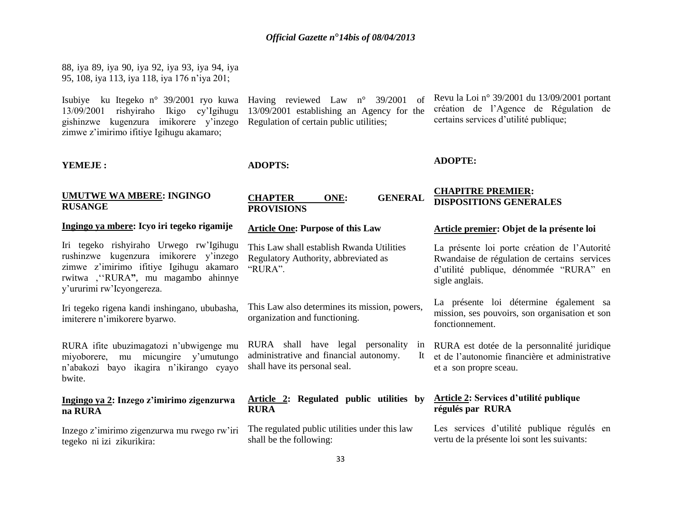13/09/2001 establishing an Agency for the

Regulation of certain public utilities;

88, iya 89, iya 90, iya 92, iya 93, iya 94, iya 95, 108, iya 113, iya 118, iya 176 n'iya 201;

Isubiye ku Itegeko n° 39/2001 ryo kuwa Having reviewed Law n° 39/2001 of 13/09/2001 rishyiraho Ikigo cy'Igihugu gishinzwe kugenzura imikorere y'inzego zimwe z'imirimo ifitiye Igihugu akamaro;

#### **YEMEJE :**

**ADOPTS:**

#### **UMUTWE WA MBERE: INGINGO RUSANGE**

#### **Ingingo ya mbere: Icyo iri tegeko rigamije**

Iri tegeko rishyiraho Urwego rw'Igihugu rushinzwe kugenzura imikorere y'inzego zimwe z'imirimo ifitiye Igihugu akamaro rwitwa '''RURA**"**, mu magambo ahinnye y'ururimi rw'Icyongereza.

Iri tegeko rigena kandi inshingano, ububasha, imiterere n'imikorere byarwo.

RURA ifite ubuzimagatozi n'ubwigenge mu miyoborere, mu micungire y'umutungo n'abakozi bayo ikagira n'ikirango cyayo bwite.

#### **Ingingo ya 2: Inzego z'imirimo zigenzurwa na RURA**

tegeko ni izi zikurikira:

| <b>CHAPTER</b>    | ONE: | <b>GENERAL</b> |
|-------------------|------|----------------|
| <b>PROVISIONS</b> |      |                |

#### **Article One: Purpose of this Law**

This Law shall establish Rwanda Utilities Regulatory Authority, abbreviated as "RURA".

This Law also determines its mission, powers, organization and functioning.

RURA shall have legal personality in administrative and financial autonomy. shall have its personal seal.

#### **Article 2: Regulated public utilities by RURA**

Inzego z'imirimo zigenzurwa mu rwego rw'iri The regulated public utilities under this law shall be the following:

Revu la Loi n° 39/2001 du 13/09/2001 portant création de l'Agence de Régulation de certains services d'utilité publique;

#### **ADOPTE:**

#### **CHAPITRE PREMIER: DISPOSITIONS GENERALES**

#### **Article premier: Objet de la présente loi**

La présente loi porte création de l'Autorité Rwandaise de régulation de certains services d'utilité publique, dénommée "RURA" en sigle anglais.

La présente loi détermine également sa mission, ses pouvoirs, son organisation et son fonctionnement.

RURA est dotée de la personnalité juridique et de l'autonomie financière et administrative et a son propre sceau.

#### **Article 2: Services d'utilité publique régulés par RURA**

Les services d'utilité publique régulés en vertu de la présente loi sont les suivants: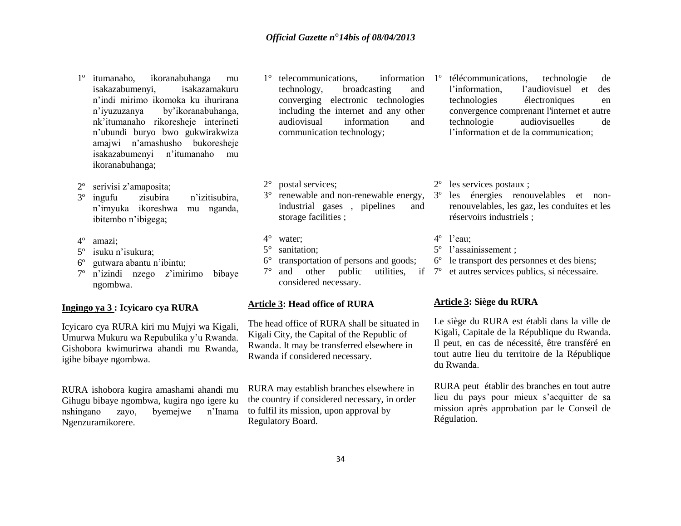- 1º itumanaho, ikoranabuhanga mu isakazabumenyi, isakazamakuru n'indi mirimo ikomoka ku ihurirana n'iyuzuzanya by'ikoranabuhanga, nk'itumanaho rikoresheje interineti n'ubundi buryo bwo gukwirakwiza amajwi n'amashusho bukoresheje isakazabumenyi n'itumanaho mu ikoranabuhanga;
- 2º serivisi z'amaposita;
- 3º ingufu zisubira n'izitisubira, n'imyuka ikoreshwa mu nganda, ibitembo n'ibigega;
- 4º amazi;
- 5º isuku n'isukura;
- 6º gutwara abantu n'ibintu;
- 7º n'izindi nzego z'imirimo bibaye ngombwa.

#### **Ingingo ya 3 : Icyicaro cya RURA**

Icyicaro cya RURA kiri mu Mujyi wa Kigali, Umurwa Mukuru wa Repubulika y'u Rwanda. Gishobora kwimurirwa ahandi mu Rwanda, igihe bibaye ngombwa.

RURA ishobora kugira amashami ahandi mu Gihugu bibaye ngombwa, kugira ngo igere ku nshingano zayo, byemejwe n'Inama Ngenzuramikorere.

- 1° telecommunications, information technology, broadcasting and converging electronic technologies including the internet and any other audiovisual information and communication technology;
- 2° postal services;
- industrial gases , pipelines and storage facilities ;
- 4° water;
- 5° sanitation;
- 6° transportation of persons and goods;
- $7^\circ$  and other public considered necessary.

#### **Article 3: Head office of RURA**

The head office of RURA shall be situated in Kigali City, the Capital of the Republic of Rwanda. It may be transferred elsewhere in Rwanda if considered necessary.

RURA may establish branches elsewhere in the country if considered necessary, in order to fulfil its mission, upon approval by Regulatory Board.

- 1º télécommunications, technologie de l'information, l'audiovisuel et des technologies électroniques en convergence comprenant l'internet et autre technologie audiovisuelles de l'information et de la communication;
- 2º les services postaux ;
- 3° renewable and non-renewable energy, 3º les énergies renouvelables et nonrenouvelables, les gaz, les conduites et les réservoirs industriels ;
	- 4º l'eau;
	- 5º l'assainissement ;
	- 6º le transport des personnes et des biens;
	- 7º et autres services publics, si nécessaire.

#### **Article 3: Siège du RURA**

Le siège du RURA est établi dans la ville de Kigali, Capitale de la République du Rwanda. Il peut, en cas de nécessité, être transféré en tout autre lieu du territoire de la République du Rwanda.

RURA peut établir des branches en tout autre lieu du pays pour mieux s'acquitter de sa mission après approbation par le Conseil de Régulation.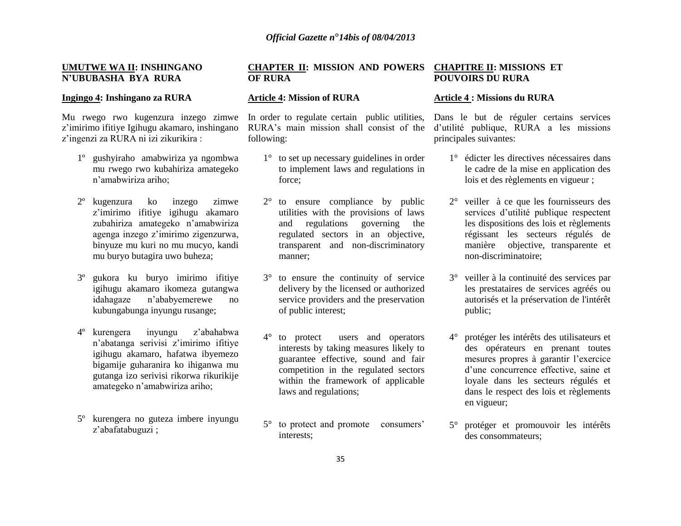#### **UMUTWE WA II: INSHINGANO N'UBUBASHA BYA RURA**

#### **Ingingo 4: Inshingano za RURA**

Mu rwego rwo kugenzura inzego zimwe z'imirimo ifitiye Igihugu akamaro, inshingano z'ingenzi za RURA ni izi zikurikira :

- 1º gushyiraho amabwiriza ya ngombwa mu rwego rwo kubahiriza amategeko n'amabwiriza ariho;
- 2º kugenzura ko inzego zimwe z'imirimo ifitiye igihugu akamaro zubahiriza amategeko n'amabwiriza agenga inzego z'imirimo zigenzurwa, binyuze mu kuri no mu mucyo, kandi mu buryo butagira uwo buheza;
- 3º gukora ku buryo imirimo ifitiye igihugu akamaro ikomeza gutangwa idahagaze n'ababyemerewe no kubungabunga inyungu rusange;
- 4º kurengera inyungu z'abahabwa n'abatanga serivisi z'imirimo ifitiye igihugu akamaro, hafatwa ibyemezo bigamije guharanira ko ihiganwa mu gutanga izo serivisi rikorwa rikurikije amategeko n'amabwiriza ariho;
- 5º kurengera no guteza imbere inyungu z'abafatabuguzi ;

#### **CHAPTER II: MISSION AND POWERS OF RURA**

#### **Article 4: Mission of RURA**

In order to regulate certain public utilities, RURA's main mission shall consist of the following:

- 1° to set up necessary guidelines in order to implement laws and regulations in force;
- 2° to ensure compliance by public utilities with the provisions of laws and regulations governing the regulated sectors in an objective, transparent and non-discriminatory manner;
- 3° to ensure the continuity of service delivery by the licensed or authorized service providers and the preservation of public interest;
- 4° to protect users and operators interests by taking measures likely to guarantee effective, sound and fair competition in the regulated sectors within the framework of applicable laws and regulations;
- 5° to protect and promote consumers' interests;

#### **CHAPITRE II: MISSIONS ET POUVOIRS DU RURA**

#### **Article 4 : Missions du RURA**

Dans le but de réguler certains services d'utilité publique, RURA a les missions principales suivantes:

- 1° édicter les directives nécessaires dans le cadre de la mise en application des lois et des règlements en vigueur ;
- 2° veiller à ce que les fournisseurs des services d'utilité publique respectent les dispositions des lois et règlements régissant les secteurs régulés de manière objective, transparente et non-discriminatoire;
- 3° veiller à la continuité des services par les prestataires de services agréés ou autorisés et la préservation de l'intérêt public;
- 4° protéger les intérêts des utilisateurs et des opérateurs en prenant toutes mesures propres à garantir l'exercice d'une concurrence effective, saine et loyale dans les secteurs régulés et dans le respect des lois et règlements en vigueur;
- 5° protéger et promouvoir les intérêts des consommateurs;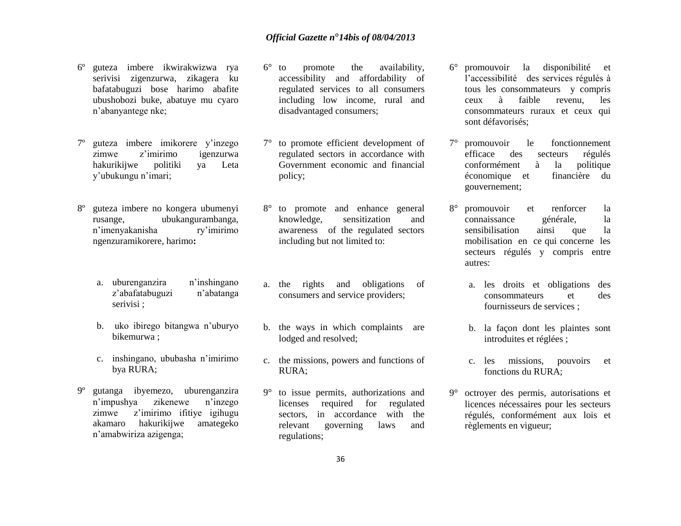- 6º guteza imbere ikwirakwizwa rya serivisi zigenzurwa, zikagera ku bafatabuguzi bose harimo abafite ubushobozi buke, abatuye mu cyaro n'abanyantege nke;
- 7º guteza imbere imikorere y'inzego zimwe z'imirimo igenzurwa hakurikijwe politiki ya Leta y'ubukungu n'imari;
- 8º guteza imbere no kongera ubumenyi rusange, ubukangurambanga, n'imenyakanisha ry'imirimo ngenzuramikorere, harimo**:**
	- a. uburenganzira n'inshingano z'abafatabuguzi n'abatanga serivisi ;
	- b. uko ibirego bitangwa n'uburyo bikemurwa ;
	- c. inshingano, ububasha n'imirimo bya RURA;
- 9º gutanga ibyemezo, uburenganzira n'impushya zikenewe n'inzego zimwe z'imirimo ifitiye igihugu akamaro hakurikijwe amategeko n'amabwiriza azigenga;
- 6° to promote the availability, accessibility and affordability of regulated services to all consumers including low income, rural and disadvantaged consumers;
- 7° to promote efficient development of regulated sectors in accordance with Government economic and financial policy;
- 8° to promote and enhance general knowledge, sensitization and awareness of the regulated sectors including but not limited to:
- a. the rights and obligations of consumers and service providers;
- b. the ways in which complaints are lodged and resolved;
- c. the missions, powers and functions of RURA;
- 9° to issue permits, authorizations and licenses required for regulated sectors, in accordance with the relevant governing laws and regulations;
- 6° promouvoir la disponibilité et l'accessibilité des services régulés à tous les consommateurs y compris ceux à faible revenu, les consommateurs ruraux et ceux qui sont défavorisés;
- 7° promouvoir le fonctionnement efficace des secteurs régulés conformément à la politique économique et financière du gouvernement;
- 8° promouvoir et renforcer la connaissance générale, la sensibilisation ainsi que la mobilisation en ce qui concerne les secteurs régulés y compris entre autres:
	- a. les droits et obligations des consommateurs et des fournisseurs de services ;
	- b. la façon dont les plaintes sont introduites et réglées ;
	- c. les missions, pouvoirs et fonctions du RURA;
- 9° octroyer des permis, autorisations et licences nécessaires pour les secteurs régulés, conformément aux lois et règlements en vigueur;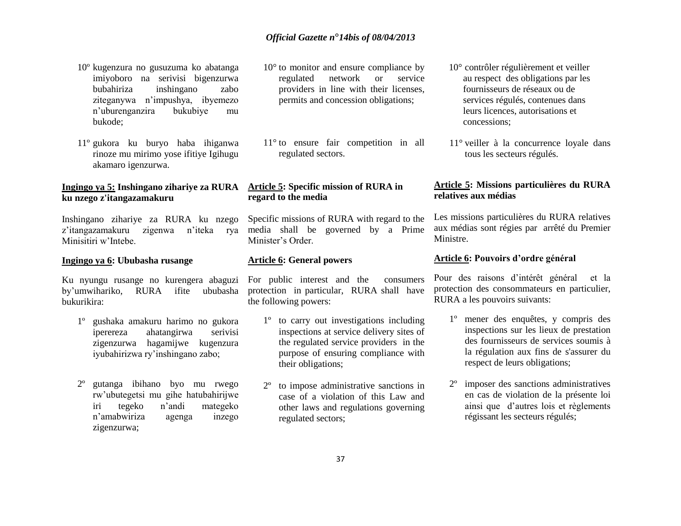- 10º kugenzura no gusuzuma ko abatanga imiyoboro na serivisi bigenzurwa bubahiriza inshingano zabo ziteganywa n'impushya, ibyemezo n'uburenganzira bukubiye mu bukode;
- 11º gukora ku buryo haba ihiganwa rinoze mu mirimo yose ifitiye Igihugu akamaro igenzurwa.

#### **Ingingo ya 5: Inshingano zihariye za RURA ku nzego z'itangazamakuru**

Inshingano zihariye za RURA ku nzego z'itangazamakuru zigenwa n'iteka rya media shall be governed by a Prime Minisitiri w'Intebe.

#### **Ingingo ya 6: Ububasha rusange**

by'umwihariko, RURA ifite ububasha bukurikira:

- 1º gushaka amakuru harimo no gukora iperereza ahatangirwa serivisi zigenzurwa hagamijwe kugenzura iyubahirizwa ry'inshingano zabo;
- 2º gutanga ibihano byo mu rwego rw'ubutegetsi mu gihe hatubahirijwe iri tegeko n'andi mategeko n'amabwiriza agenga inzego zigenzurwa;
- 10° to monitor and ensure compliance by regulated network or service providers in line with their licenses, permits and concession obligations;
- 11° to ensure fair competition in all regulated sectors.

### **Article 5: Specific mission of RURA in regard to the media**

Specific missions of RURA with regard to the Minister's Order.

#### **Article 6: General powers**

Ku nyungu rusange no kurengera abaguzi For public interest and the consumers protection in particular, RURA shall have the following powers:

- 1º to carry out investigations including inspections at service delivery sites of the regulated service providers in the purpose of ensuring compliance with their obligations;
- 2º to impose administrative sanctions in case of a violation of this Law and other laws and regulations governing regulated sectors;
- 10° contrôler régulièrement et veiller au respect des obligations par les fournisseurs de réseaux ou de services régulés, contenues dans leurs licences, autorisations et concessions;
- 11° veiller à la concurrence loyale dans tous les secteurs régulés.

#### **Article 5: Missions particulières du RURA relatives aux médias**

Les missions particulières du RURA relatives aux médias sont régies par arrêté du Premier Ministre.

#### **Article 6: Pouvoirs d'ordre général**

Pour des raisons d'intérêt général et la protection des consommateurs en particulier, RURA a les pouvoirs suivants:

- 1º mener des enquêtes, y compris des inspections sur les lieux de prestation des fournisseurs de services soumis à la régulation aux fins de s'assurer du respect de leurs obligations;
- 2º imposer des sanctions administratives en cas de violation de la présente loi ainsi que d'autres lois et règlements régissant les secteurs régulés;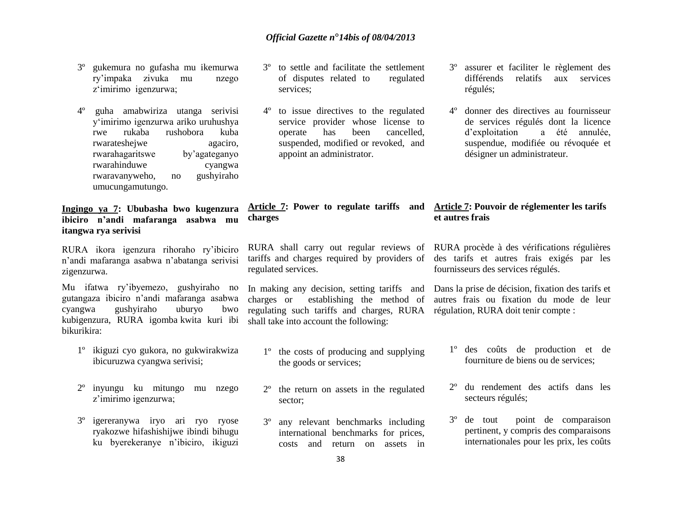- 3º gukemura no gufasha mu ikemurwa ry'impaka zivuka mu nzego z'imirimo igenzurwa;
- 4º guha amabwiriza utanga serivisi y'imirimo igenzurwa ariko uruhushya rwe rukaba rushobora kuba rwarateshejwe agaciro, rwarahagaritswe by'agateganyo rwarahinduwe cyangwa rwaravanyweho, no gushyiraho umucungamutungo.

#### **Ingingo ya 7: Ububasha bwo kugenzura ibiciro n'andi mafaranga asabwa mu itangwa rya serivisi**

RURA ikora igenzura rihoraho ry'ibiciro n'andi mafaranga asabwa n'abatanga serivisi zigenzurwa.

Mu ifatwa ry'ibyemezo, gushyiraho no gutangaza ibiciro n'andi mafaranga asabwa cyangwa gushyiraho uburyo bwo kubigenzura, RURA igomba kwita kuri ibi bikurikira:

- 1º ikiguzi cyo gukora, no gukwirakwiza ibicuruzwa cyangwa serivisi;
- 2º inyungu ku mitungo mu nzego z'imirimo igenzurwa;
- 3º igereranywa iryo ari ryo ryose ryakozwe hifashishijwe ibindi bihugu ku byerekeranye n'ibiciro, ikiguzi
- 3º to settle and facilitate the settlement of disputes related to regulated services;
- 4º to issue directives to the regulated service provider whose license to operate has been cancelled, suspended, modified or revoked, and appoint an administrator.
- 3º assurer et faciliter le règlement des différends relatifs aux services régulés;
- 4º donner des directives au fournisseur de services régulés dont la licence d'exploitation a été annulée, suspendue, modifiée ou révoquée et désigner un administrateur.

#### **Article 7: Power to regulate tariffs and Article 7: Pouvoir de réglementer les tarifs et autres frais**

RURA shall carry out regular reviews of RURA procède à des vérifications régulières regulated services.

**charges**

charges or establishing the method of regulating such tariffs and charges, RURA régulation, RURA doit tenir compte : shall take into account the following:

- 1º the costs of producing and supplying the goods or services;
- 2º the return on assets in the regulated sector;
- 3º any relevant benchmarks including international benchmarks for prices, costs and return on assets in

tariffs and charges required by providers of des tarifs et autres frais exigés par les fournisseurs des services régulés.

In making any decision, setting tariffs and Dans la prise de décision, fixation des tarifs et autres frais ou fixation du mode de leur

- 1º des coûts de production et de fourniture de biens ou de services;
- 2º du rendement des actifs dans les secteurs régulés;
- 3º de tout point de comparaison pertinent, y compris des comparaisons internationales pour les prix, les coûts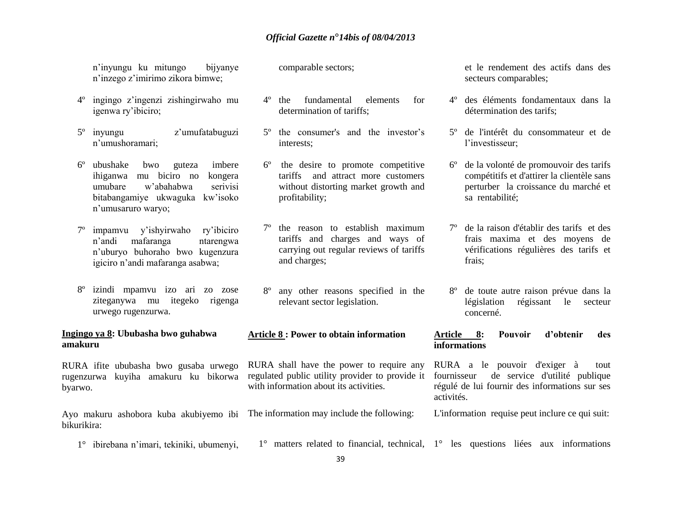n'inyungu ku mitungo bijyanye n'inzego z'imirimo zikora bimwe;

- 4º ingingo z'ingenzi zishingirwaho mu igenwa ry'ibiciro;
- 5º inyungu z'umufatabuguzi n'umushoramari;
- 6º ubushake bwo guteza imbere ihiganwa mu biciro no kongera umubare w'abahabwa serivisi bitabangamiye ukwaguka kw'isoko n'umusaruro waryo;
- 7º impamvu y'ishyirwaho ry'ibiciro n'andi mafaranga ntarengwa n'uburyo buhoraho bwo kugenzura igiciro n'andi mafaranga asabwa;
- 8º izindi mpamvu izo ari zo zose ziteganywa mu itegeko rigenga urwego rugenzurwa.

#### **Ingingo ya 8: Ububasha bwo guhabwa amakuru**

RURA ifite ububasha bwo gusaba urwego rugenzurwa kuyiha amakuru ku bikorwa byarwo.

Ayo makuru ashobora kuba akubiyemo ibi The information may include the following: bikurikira:

- comparable sectors;
- 4º the fundamental elements for determination of tariffs;
- 5º the consumer's and the investor's interests;
- 6º the desire to promote competitive tariffs and attract more customers without distorting market growth and profitability;
- the reason to establish maximum tariffs and charges and ways of carrying out regular reviews of tariffs and charges;
- 8º any other reasons specified in the relevant sector legislation.

# **Article 8 : Power to obtain information**

RURA shall have the power to require any regulated public utility provider to provide it with information about its activities.

et le rendement des actifs dans des secteurs comparables;

- 4º des éléments fondamentaux dans la détermination des tarifs;
- 5º de l'intérêt du consommateur et de l'investisseur;
- 6º de la volonté de promouvoir des tarifs compétitifs et d'attirer la clientèle sans perturber la croissance du marché et sa rentabilité;
- de la raison d'établir des tarifs et des frais maxima et des moyens de vérifications régulières des tarifs et frais;
- 8º de toute autre raison prévue dans la législation régissant le secteur concerné.

#### **Article 8: Pouvoir d'obtenir des informations**

RURA a le pouvoir d'exiger à tout fournisseur de service d'utilité publique régulé de lui fournir des informations sur ses activités.

- L'information requise peut inclure ce qui suit:
- 1° ibirebana n'imari, tekiniki, ubumenyi, 1° matters related to financial, technical, 1° les questions liées aux informations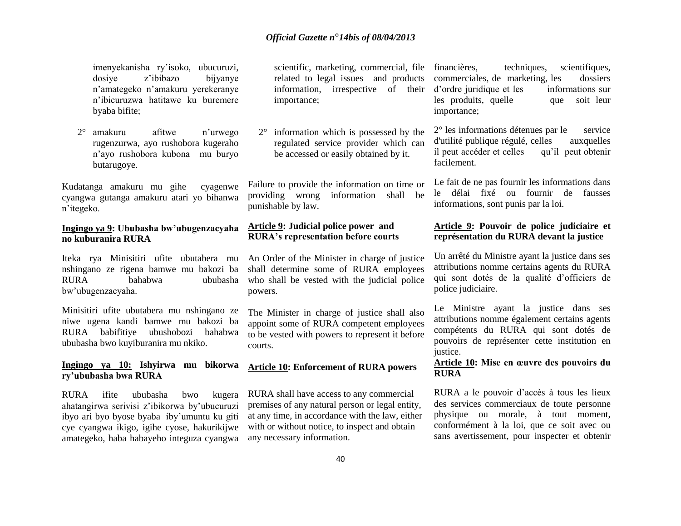imenyekanisha ry'isoko, ubucuruzi, dosiye z'ibibazo bijyanye n'amategeko n'amakuru yerekeranye n'ibicuruzwa hatitawe ku buremere byaba bifite;

2° amakuru afitwe n'urwego rugenzurwa, ayo rushobora kugeraho n'ayo rushobora kubona mu buryo butarugoye.

Kudatanga amakuru mu gihe cyagenwe cyangwa gutanga amakuru atari yo bihanwa n'itegeko.

#### **Ingingo ya 9: Ububasha bw'ubugenzacyaha no kuburanira RURA**

Iteka rya Minisitiri ufite ubutabera mu nshingano ze rigena bamwe mu bakozi ba RURA bahabwa ububasha who shall be vested with the judicial police bw'ubugenzacyaha.

Minisitiri ufite ubutabera mu nshingano ze niwe ugena kandi bamwe mu bakozi ba RURA babifitiye ubushobozi bahabwa ububasha bwo kuyiburanira mu nkiko.

#### **Ingingo ya 10: Ishyirwa mu bikorwa ry'ububasha bwa RURA**

RURA ifite ububasha bwo kugera ahatangirwa serivisi z'ibikorwa by'ubucuruzi ibyo ari byo byose byaba iby'umuntu ku giti cye cyangwa ikigo, igihe cyose, hakurikijwe amategeko, haba habayeho integuza cyangwa scientific, marketing, commercial, file financières, related to legal issues and products information, irrespective of their importance;

2° information which is possessed by the regulated service provider which can be accessed or easily obtained by it.

Failure to provide the information on time or providing wrong information shall be punishable by law.

#### **Article 9: Judicial police power and RURA's representation before courts**

An Order of the Minister in charge of justice shall determine some of RURA employees powers.

The Minister in charge of justice shall also appoint some of RURA competent employees to be vested with powers to represent it before courts.

#### **Article 10: Enforcement of RURA powers**

RURA shall have access to any commercial premises of any natural person or legal entity, at any time, in accordance with the law, either with or without notice, to inspect and obtain any necessary information.

techniques, scientifiques, commerciales, de marketing, les dossiers d'ordre juridique et les informations sur les produits, quelle que soit leur importance;

2° les informations détenues par le service d'utilité publique régulé, celles auxquelles il peut accéder et celles qu'il peut obtenir facilement.

Le fait de ne pas fournir les informations dans le délai fixé ou fournir de fausses informations, sont punis par la loi.

#### **Article 9: Pouvoir de police judiciaire et représentation du RURA devant la justice**

Un arrêté du Ministre ayant la justice dans ses attributions nomme certains agents du RURA qui sont dotés de la qualité d'officiers de police judiciaire.

Le Ministre ayant la justice dans ses attributions nomme également certains agents compétents du RURA qui sont dotés de pouvoirs de représenter cette institution en justice.

#### **Article 10: Mise en œuvre des pouvoirs du RURA**

RURA a le pouvoir d'accès à tous les lieux des services commerciaux de toute personne physique ou morale, à tout moment, conformément à la loi, que ce soit avec ou sans avertissement, pour inspecter et obtenir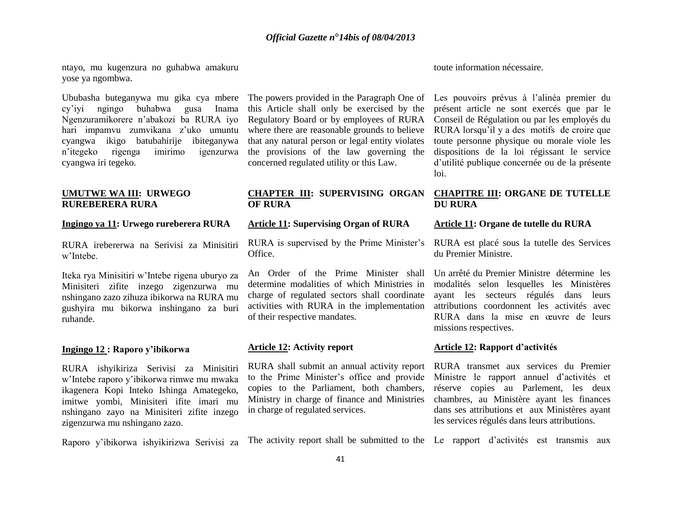ntayo, mu kugenzura no guhabwa amakuru yose ya ngombwa.

Ububasha buteganywa mu gika cya mbere The powers provided in the Paragraph One of Les pouvoirs prévus à l'alinéa premier du cy'iyi ngingo buhabwa gusa Inama Ngenzuramikorere n'abakozi ba RURA iyo hari impamvu zumvikana z'uko umuntu cyangwa ikigo batubahirije ibiteganywa n'itegeko rigenga imirimo igenzurwa cyangwa iri tegeko.

#### **UMUTWE WA III: URWEGO RUREBERERA RURA**

#### **Ingingo ya 11: Urwego rureberera RURA**

RURA irebererwa na Serivisi za Minisitiri w'Intebe.

Iteka rya Minisitiri w'Intebe rigena uburyo za Minisiteri zifite inzego zigenzurwa mu nshingano zazo zihuza ibikorwa na RURA mu gushyira mu bikorwa inshingano za buri ruhande.

#### **Ingingo 12 : Raporo y'ibikorwa**

RURA ishyikiriza Serivisi za Minisitiri w'Intebe raporo y'ibikorwa rimwe mu mwaka ikagenera Kopi Inteko Ishinga Amategeko, imitwe yombi, Minisiteri ifite imari mu nshingano zayo na Minisiteri zifite inzego zigenzurwa mu nshingano zazo.

this Article shall only be exercised by the Regulatory Board or by employees of RURA Conseil de Régulation ou par les employés du where there are reasonable grounds to believe that any natural person or legal entity violates the provisions of the law governing the concerned regulated utility or this Law.

#### **CHAPTER III: SUPERVISING ORGAN OF RURA**

#### **Article 11: Supervising Organ of RURA**

RURA is supervised by the Prime Minister's Office.

An Order of the Prime Minister shall determine modalities of which Ministries in charge of regulated sectors shall coordinate activities with RURA in the implementation of their respective mandates.

#### **Article 12: Activity report**

RURA shall submit an annual activity report RURA transmet aux services du Premier to the Prime Minister's office and provide copies to the Parliament, both chambers, Ministry in charge of finance and Ministries in charge of regulated services.

toute information nécessaire.

présent article ne sont exercés que par le RURA lorsqu'il y a des motifs de croire que toute personne physique ou morale viole les dispositions de la loi régissant le service d'utilité publique concernée ou de la présente loi.

#### **CHAPITRE III: ORGANE DE TUTELLE DU RURA**

#### **Article 11: Organe de tutelle du RURA**

RURA est placé sous la tutelle des Services du Premier Ministre.

Un arrêté du Premier Ministre détermine les modalités selon lesquelles les Ministères ayant les secteurs régulés dans leurs attributions coordonnent les activités avec RURA dans la mise en œuvre de leurs missions respectives.

#### **Article 12: Rapport d'activités**

Ministre le rapport annuel d'activités et réserve copies au Parlement, les deux chambres, au Ministère ayant les finances dans ses attributions et aux Ministères ayant les services régulés dans leurs attributions.

Raporo y'ibikorwa ishyikirizwa Serivisi za The activity report shall be submitted to the Le rapport d'activités est transmis aux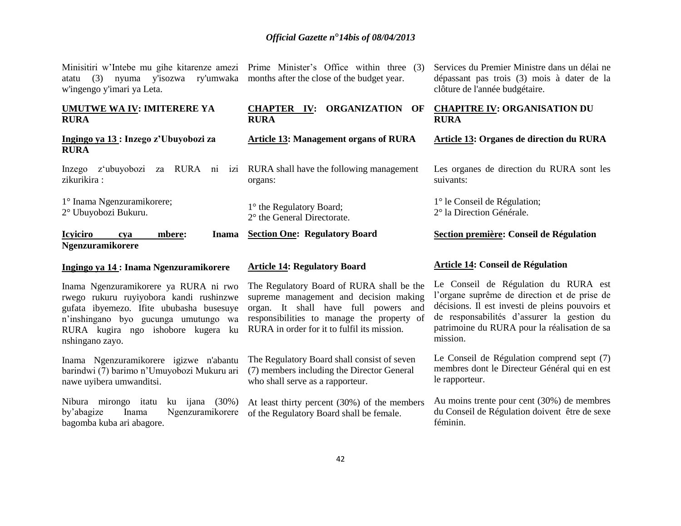atatu (3) nyuma y'isozwa ry'umwaka months after the close of the budget year. w'ingengo y'imari ya Leta.

#### **UMUTWE WA IV: IMITERERE YA RURA**

**Ingingo ya 13 : Inzego z'Ubuyobozi za RURA**

Inzego z'ubuyobozi za RURA ni izi RURA shall have the following management zikurikira :

1° Inama Ngenzuramikorere; 2° Ubuyobozi Bukuru.

**Icyiciro cya mbere: Inama** 

#### **Ngenzuramikorere**

#### **Ingingo ya 14 : Inama Ngenzuramikorere**

Inama Ngenzuramikorere ya RURA ni rwo rwego rukuru ruyiyobora kandi rushinzwe gufata ibyemezo. Ifite ububasha busesuye n'inshingano byo gucunga umutungo wa RURA kugira ngo ishobore kugera ku nshingano zayo.

Inama Ngenzuramikorere igizwe n'abantu barindwi (7) barimo n'Umuyobozi Mukuru ari nawe uyibera umwanditsi.

Nibura mirongo itatu ku ijana (30%) by'abagize Inama Ngenzuramikorere bagomba kuba ari abagore.

Minisitiri w'Intebe mu gihe kitarenze amezi Prime Minister's Office within three (3)

#### **CHAPTER IV: ORGANIZATION OF RURA**

**Article 13: Management organs of RURA**

organs:

1° the Regulatory Board;

2° the General Directorate.

**Section One: Regulatory Board**

#### **Article 14: Regulatory Board**

The Regulatory Board of RURA shall be the supreme management and decision making organ. It shall have full powers and responsibilities to manage the property of RURA in order for it to fulfil its mission.

The Regulatory Board shall consist of seven (7) members including the Director General who shall serve as a rapporteur.

At least thirty percent (30%) of the members of the Regulatory Board shall be female.

Services du Premier Ministre dans un délai ne dépassant pas trois (3) mois à dater de la clôture de l'année budgétaire.

#### **CHAPITRE IV: ORGANISATION DU RURA**

**Article 13: Organes de direction du RURA**

Les organes de direction du RURA sont les suivants:

1° le Conseil de Régulation; 2° la Direction Générale.

#### **Section première: Conseil de Régulation**

#### **Article 14: Conseil de Régulation**

Le Conseil de Régulation du RURA est l'organe suprême de direction et de prise de décisions. Il est investi de pleins pouvoirs et de responsabilités d'assurer la gestion du patrimoine du RURA pour la réalisation de sa mission.

Le Conseil de Régulation comprend sept (7) membres dont le Directeur Général qui en est le rapporteur.

Au moins trente pour cent (30%) de membres du Conseil de Régulation doivent être de sexe féminin.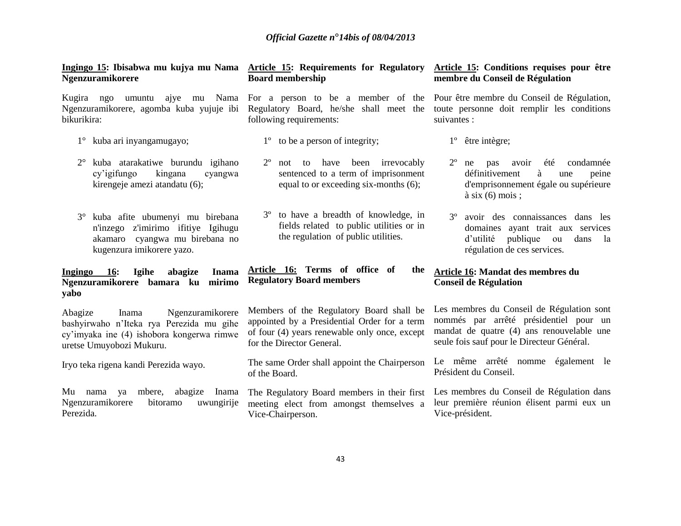#### **Ingingo 15: Ibisabwa mu kujya mu Nama Article 15: Requirements for Regulatory Ngenzuramikorere**

Ngenzuramikorere, agomba kuba yujuje ibi Regulatory Board, he/she shall meet the bikurikira:

- 1° kuba ari inyangamugayo;
- 2° kuba atarakatiwe burundu igihano cy'igifungo kingana cyangwa kirengeje amezi atandatu (6);
- 3° kuba afite ubumenyi mu birebana n'inzego z'imirimo ifitiye Igihugu akamaro cyangwa mu birebana no kugenzura imikorere yazo.

#### **Ingingo 16: Igihe abagize Inama Ngenzuramikorere bamara ku mirimo yabo**

Abagize Inama Ngenzuramikorere bashyirwaho n'Iteka rya Perezida mu gihe cy'imyaka ine (4) ishobora kongerwa rimwe uretse Umuyobozi Mukuru.

Iryo teka rigena kandi Perezida wayo.

Mu nama ya mbere, abagize Inama The Regulatory Board members in their first Ngenzuramikorere bitoramo uwungirije Perezida.

# **Board membership**

following requirements:

- 1º to be a person of integrity;
- 2º not to have been irrevocably sentenced to a term of imprisonment equal to or exceeding six-months (6);
- 3º to have a breadth of knowledge, in fields related to public utilities or in the regulation of public utilities.

#### **Article 16: Terms of office of the Regulatory Board members**

Members of the Regulatory Board shall be appointed by a Presidential Order for a term of four (4) years renewable only once, except for the Director General.

The same Order shall appoint the Chairperson of the Board.

meeting elect from amongst themselves a Vice-Chairperson.

#### **Article 15: Conditions requises pour être membre du Conseil de Régulation**

Kugira ngo umuntu ajye mu Nama For a person to be a member of the Pour être membre du Conseil de Régulation, toute personne doit remplir les conditions suivantes :

- 1º être intègre;
- 2º ne pas avoir été condamnée définitivement à une peine d'emprisonnement égale ou supérieure  $\lambda$  six (6) mois ;
- 3º avoir des connaissances dans les domaines ayant trait aux services d'utilité publique ou dans la régulation de ces services.

#### **Article 16: Mandat des membres du Conseil de Régulation**

Les membres du Conseil de Régulation sont nommés par arrêté présidentiel pour un mandat de quatre (4) ans renouvelable une seule fois sauf pour le Directeur Général.

Le même arrêté nomme également le Président du Conseil.

Les membres du Conseil de Régulation dans leur première réunion élisent parmi eux un Vice-président.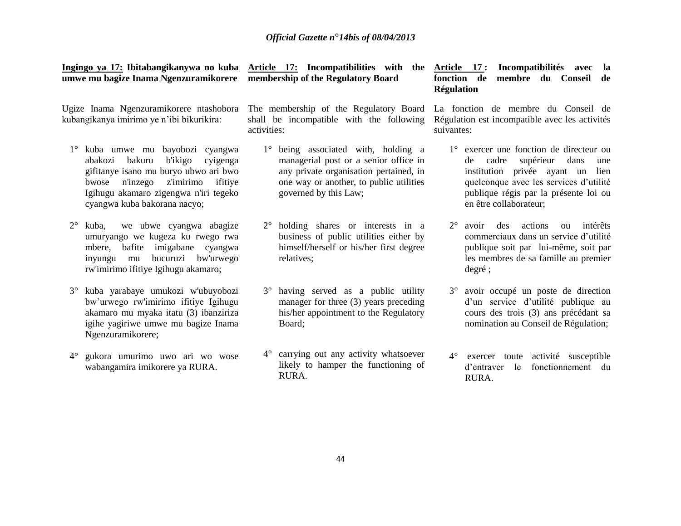**Article 17: Incompatibilities with the** 

**membership of the Regulatory Board**

activities:

|  |  | Ingingo ya 17: Ibitabangikanywa no kuba |  |
|--|--|-----------------------------------------|--|
|  |  | umwe mu bagize Inama Ngenzuramikorere   |  |

kubangikanya imirimo ye n'ibi bikurikira:

- 1° kuba umwe mu bayobozi cyangwa abakozi bakuru b'ikigo cyigenga gifitanye isano mu buryo ubwo ari bwo bwose n'inzego z'imirimo ifitiye Igihugu akamaro zigengwa n'iri tegeko cyangwa kuba bakorana nacyo;
- 2° kuba, we ubwe cyangwa abagize umuryango we kugeza ku rwego rwa mbere, bafite imigabane cyangwa inyungu mu bucuruzi bw'urwego rw'imirimo ifitiye Igihugu akamaro;
- 3° kuba yarabaye umukozi w'ubuyobozi bw'urwego rw'imirimo ifitiye Igihugu akamaro mu myaka itatu (3) ibanziriza igihe yagiriwe umwe mu bagize Inama Ngenzuramikorere;
- 4° gukora umurimo uwo ari wo wose wabangamira imikorere ya RURA.

Ugize Inama Ngenzuramikorere ntashobora The membership of the Regulatory Board shall be incompatible with the following

- 1° being associated with, holding a managerial post or a senior office in any private organisation pertained, in one way or another, to public utilities governed by this Law;
- 2° holding shares or interests in a business of public utilities either by himself/herself or his/her first degree relatives;
- 3° having served as a public utility manager for three (3) years preceding his/her appointment to the Regulatory Board;
- 4° carrying out any activity whatsoever likely to hamper the functioning of RURA.

**Article 17 : Incompatibilités avec la fonction de membre du Conseil de Régulation**

La fonction de membre du Conseil de Régulation est incompatible avec les activités suivantes:

- 1° exercer une fonction de directeur ou de cadre supérieur dans une institution privée ayant un lien quelconque avec les services d'utilité publique régis par la présente loi ou en être collaborateur;
- 2° avoir des actions ou intérêts commerciaux dans un service d'utilité publique soit par lui-même, soit par les membres de sa famille au premier degré ;
- 3° avoir occupé un poste de direction d'un service d'utilité publique au cours des trois (3) ans précédant sa nomination au Conseil de Régulation;
- 4° exercer toute activité susceptible d'entraver le fonctionnement du RURA.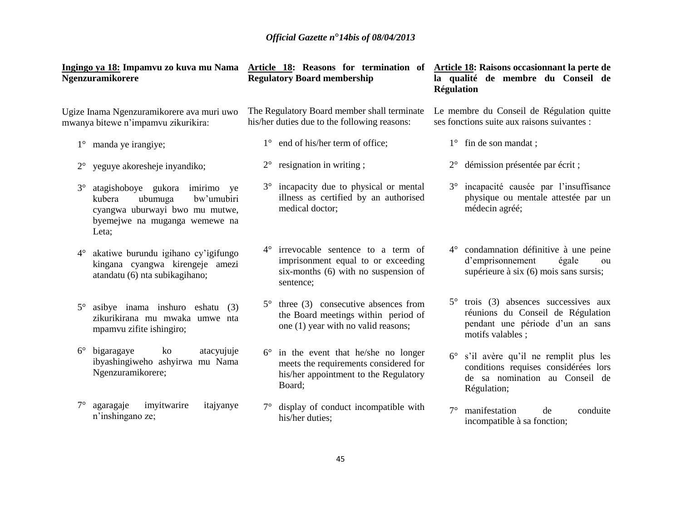|             | Ngenzuramikorere                                                                                                                              |             | Ingingo ya 18: Impamvu zo kuva mu Nama Article 18: Reasons for termination of<br><b>Regulatory Board membership</b>            | Régulation  | Article 18: Raisons occasionnant la perte de<br>la qualité de membre du Conseil de                                                          |
|-------------|-----------------------------------------------------------------------------------------------------------------------------------------------|-------------|--------------------------------------------------------------------------------------------------------------------------------|-------------|---------------------------------------------------------------------------------------------------------------------------------------------|
|             | Ugize Inama Ngenzuramikorere ava muri uwo<br>mwanya bitewe n'impamvu zikurikira:                                                              |             | The Regulatory Board member shall terminate<br>his/her duties due to the following reasons:                                    |             | Le membre du Conseil de Régulation quitte<br>ses fonctions suite aux raisons suivantes :                                                    |
| $1^{\circ}$ | manda ye irangiye;                                                                                                                            |             | 1° end of his/her term of office;                                                                                              |             | $1^\circ$ fin de son mandat;                                                                                                                |
| $2^{\circ}$ | yeguye akoresheje inyandiko;                                                                                                                  | $2^{\circ}$ | resignation in writing;                                                                                                        | $2^{\circ}$ | démission présentée par écrit;                                                                                                              |
| $3^\circ$   | atagishoboye gukora imirimo ye<br>kubera<br>ubumuga<br>bw'umubiri<br>cyangwa uburwayi bwo mu mutwe,<br>byemejwe na muganga wemewe na<br>Leta; | $3^\circ$   | incapacity due to physical or mental<br>illness as certified by an authorised<br>medical doctor;                               | $3^{\circ}$ | incapacité causée par l'insuffisance<br>physique ou mentale attestée par un<br>médecin agréé;                                               |
| $4^{\circ}$ | akatiwe burundu igihano cy'igifungo<br>kingana cyangwa kirengeje amezi<br>atandatu (6) nta subikagihano;                                      | $4^{\circ}$ | irrevocable sentence to a term of<br>imprisonment equal to or exceeding<br>six-months (6) with no suspension of<br>sentence;   | $4^{\circ}$ | condamnation définitive à une peine<br>d'emprisonnement<br>égale<br>ou<br>supérieure à six (6) mois sans sursis;                            |
| $5^{\circ}$ | asibye inama inshuro eshatu (3)<br>zikurikirana mu mwaka umwe nta<br>mpamvu zifite ishingiro;                                                 | $5^{\circ}$ | three (3) consecutive absences from<br>the Board meetings within period of<br>one (1) year with no valid reasons;              |             | $5^{\circ}$ trois (3) absences successives aux<br>réunions du Conseil de Régulation<br>pendant une période d'un an sans<br>motifs valables; |
| $6^{\circ}$ | bigaragaye<br>ko<br>atacyujuje<br>ibyashingiweho ashyirwa mu Nama<br>Ngenzuramikorere;                                                        | $6^{\circ}$ | in the event that he/she no longer<br>meets the requirements considered for<br>his/her appointment to the Regulatory<br>Board; | $6^{\circ}$ | s'il avère qu'il ne remplit plus les<br>conditions requises considérées lors<br>de sa nomination au Conseil de<br>Régulation;               |
|             | imyitwarire<br>agaragaje<br>itajyanye<br>n'inshingano ze;                                                                                     |             | display of conduct incompatible with<br>his/her duties;                                                                        | $7^\circ$   | manifestation<br>de<br>conduite<br>incompatible à sa fonction;                                                                              |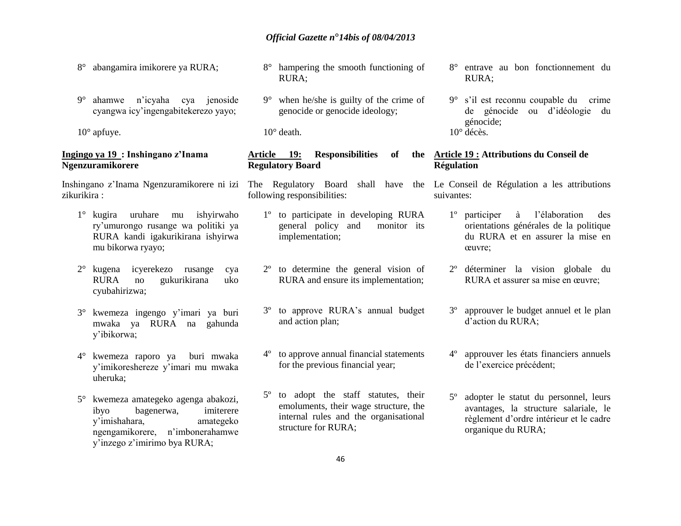- 8° abangamira imikorere ya RURA;
- 9° ahamwe n'icyaha cya jenoside cyangwa icy'ingengabitekerezo yayo;

 $10^{\circ}$  apfuye.

#### **Ingingo ya 19 : Inshingano z'Inama Ngenzuramikorere**

zikurikira :

- 1° kugira uruhare mu ishyirwaho ry'umurongo rusange wa politiki ya RURA kandi igakurikirana ishyirwa mu bikorwa ryayo;
- 2° kugena icyerekezo rusange cya RURA no gukurikirana uko cyubahirizwa;
- 3° kwemeza ingengo y'imari ya buri mwaka ya RURA na gahunda y'ibikorwa;
- 4° kwemeza raporo ya buri mwaka y'imikoreshereze y'imari mu mwaka uheruka;
- 5° kwemeza amategeko agenga abakozi, ibyo bagenerwa, imiterere y'imishahara, amategeko ngengamikorere, n'imbonerahamwe y'inzego z'imirimo bya RURA;
- 8° hampering the smooth functioning of RURA;
- 9° when he/she is guilty of the crime of genocide or genocide ideology;

10° death.

#### Article 19: **Responsibilities** of **Regulatory Board**

following responsibilities:

- 1º to participate in developing RURA general policy and monitor its implementation;
- 2º to determine the general vision of RURA and ensure its implementation;
- 3º to approve RURA's annual budget and action plan;
- 4º to approve annual financial statements for the previous financial year;
- 5º to adopt the staff statutes, their emoluments, their wage structure, the internal rules and the organisational structure for RURA;
- 8° entrave au bon fonctionnement du RURA;
- 9° s'il est reconnu coupable du crime de génocide ou d'idéologie du génocide;  $10^{\circ}$  décès.

#### **Article 19 : Attributions du Conseil de Régulation**

Inshingano z'Inama Ngenzuramikorere ni izi The Regulatory Board shall have the Le Conseil de Régulation a les attributions suivantes:

- 1º participer à l'élaboration des orientations générales de la politique du RURA et en assurer la mise en œuvre;
- 2º déterminer la vision globale du RURA et assurer sa mise en œuvre;
- 3º approuver le budget annuel et le plan d'action du RURA;
- 4º approuver les états financiers annuels de l'exercice précédent;
- 5º adopter le statut du personnel, leurs avantages, la structure salariale, le règlement d'ordre intérieur et le cadre organique du RURA;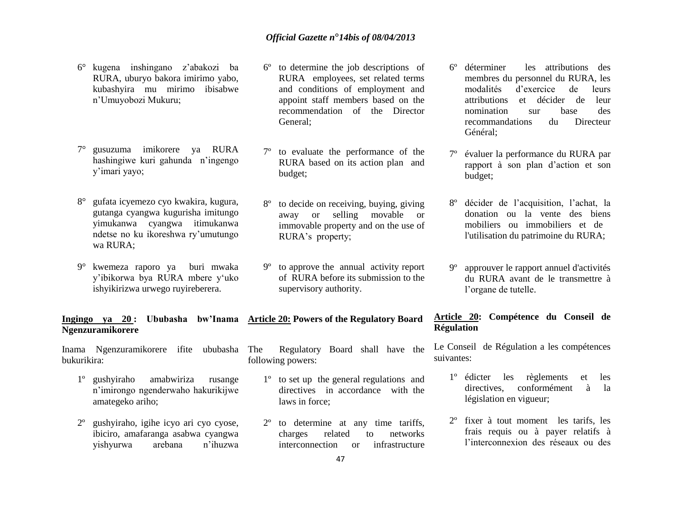- 6° kugena inshingano z'abakozi ba RURA, uburyo bakora imirimo yabo, kubashyira mu mirimo ibisabwe n'Umuyobozi Mukuru;
- 7° gusuzuma imikorere ya RURA hashingiwe kuri gahunda n'ingengo y'imari yayo;
- 8° gufata icyemezo cyo kwakira, kugura, gutanga cyangwa kugurisha imitungo yimukanwa cyangwa itimukanwa ndetse no ku ikoreshwa ry'umutungo wa RURA;
- 9° kwemeza raporo ya buri mwaka y'ibikorwa bya RURA mbere y'uko ishyikirizwa urwego ruyireberera.

# **Ngenzuramikorere**

Inama Ngenzuramikorere ifite ububasha bukurikira:

- 1º gushyiraho amabwiriza rusange n'imirongo ngenderwaho hakurikijwe amategeko ariho;
- 2º gushyiraho, igihe icyo ari cyo cyose, ibiciro, amafaranga asabwa cyangwa yishyurwa arebana n'ihuzwa
- 6º to determine the job descriptions of RURA employees, set related terms and conditions of employment and appoint staff members based on the recommendation of the Director General;
- 7º to evaluate the performance of the RURA based on its action plan and budget;
- 8º to decide on receiving, buying, giving away or selling movable or immovable property and on the use of RURA's property;
- 9º to approve the annual activity report of RURA before its submission to the supervisory authority.

# **Ingingo ya 20 : Ububasha bw'Inama Article 20: Powers of the Regulatory Board**

Regulatory Board shall have the following powers:

- 1º to set up the general regulations and directives in accordance with the laws in force;
- 2º to determine at any time tariffs, charges related to networks interconnection or infrastructure
- 6º déterminer les attributions des membres du personnel du RURA, les modalités d'exercice de leurs attributions et décider de leur nomination sur base des recommandations du Directeur Général;
- évaluer la performance du RURA par rapport à son plan d'action et son budget;
- 8º décider de l'acquisition, l'achat, la donation ou la vente des biens mobiliers ou immobiliers et de l'utilisation du patrimoine du RURA;
- 9º approuver le rapport annuel d'activités du RURA avant de le transmettre à l'organe de tutelle.

#### **Article 20: Compétence du Conseil de Régulation**

Le Conseil de Régulation a les compétences suivantes:

- 1º édicter les règlements et les directives, conformément à la législation en vigueur;
- 2º fixer à tout moment les tarifs, les frais requis ou à payer relatifs à l'interconnexion des réseaux ou des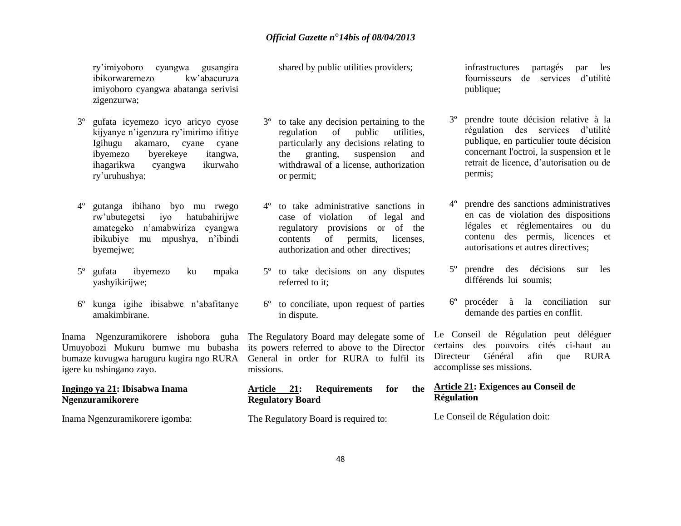ry'imiyoboro cyangwa gusangira ibikorwaremezo kw'abacuruza imiyoboro cyangwa abatanga serivisi zigenzurwa;

- 3º gufata icyemezo icyo aricyo cyose kijyanye n'igenzura ry'imirimo ifitiye Igihugu akamaro, cyane cyane<br>ibyemezo byerekeye itangwa. byerekeye itangwa, ihagarikwa cyangwa ikurwaho ry'uruhushya;
- 4º gutanga ibihano byo mu rwego rw'ubutegetsi iyo hatubahirijwe amategeko n'amabwiriza cyangwa ibikubiye mu mpushya, n'ibindi byemejwe;
- 5º gufata ibyemezo ku mpaka yashyikirijwe;
- 6º kunga igihe ibisabwe n'abafitanye amakimbirane.

Inama Ngenzuramikorere ishobora guha The Regulatory Board may delegate some of Umuyobozi Mukuru bumwe mu bubasha its powers referred to above to the Director bumaze kuvugwa haruguru kugira ngo RURA General in order for RURA to fulfil its igere ku nshingano zayo.

#### **Ingingo ya 21: Ibisabwa Inama Ngenzuramikorere**

Inama Ngenzuramikorere igomba:

shared by public utilities providers;

- 3º to take any decision pertaining to the regulation of public utilities, particularly any decisions relating to the granting, suspension and withdrawal of a license, authorization or permit;
- 4º to take administrative sanctions in case of violation of legal and regulatory provisions or of the contents of permits, licenses, authorization and other directives;
- 5º to take decisions on any disputes referred to it;
- 6º to conciliate, upon request of parties in dispute.

missions.

#### **Article 21: Requirements for the Regulatory Board**

The Regulatory Board is required to:

infrastructures partagés par les fournisseurs de services d'utilité publique;

- prendre toute décision relative à la régulation des services d'utilité publique, en particulier toute décision concernant l'octroi, la suspension et le retrait de licence, d'autorisation ou de permis;
- 4º prendre des sanctions administratives en cas de violation des dispositions légales et réglementaires ou du contenu des permis, licences et autorisations et autres directives;
- 5º prendre des décisions sur les différends lui soumis;
- 6º procéder à la conciliation sur demande des parties en conflit.

Le Conseil de Régulation peut déléguer certains des pouvoirs cités ci-haut au Directeur Général afin que RURA accomplisse ses missions.

### **Article 21: Exigences au Conseil de Régulation**

Le Conseil de Régulation doit: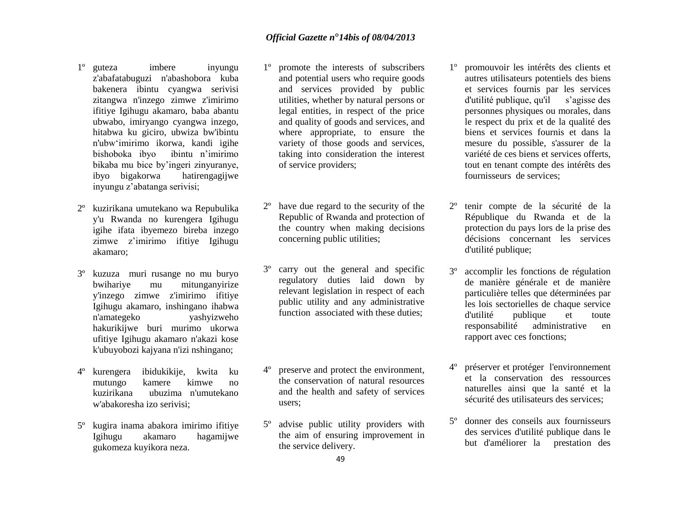- 1º guteza imbere inyungu z'abafatabuguzi n'abashobora kuba bakenera ibintu cyangwa serivisi zitangwa n'inzego zimwe z'imirimo ifitiye Igihugu akamaro, baba abantu ubwabo, imiryango cyangwa inzego, hitabwa ku giciro, ubwiza bw'ibintu n'ubw'imirimo ikorwa, kandi igihe bishoboka ibyo ibintu n'imirimo bikaba mu bice by'ingeri zinyuranye,<br>ibvo bigakorwa hatirengagiiwe ibyo bigakorwa inyungu z'abatanga serivisi;
- 2º kuzirikana umutekano wa Repubulika y'u Rwanda no kurengera Igihugu igihe ifata ibyemezo bireba inzego zimwe z'imirimo ifitiye Igihugu akamaro;
- 3º kuzuza muri rusange no mu buryo bwihariye mu mitunganyirize y'inzego zimwe z'imirimo ifitiye Igihugu akamaro, inshingano ihabwa n'amategeko yashyizweho hakurikijwe buri murimo ukorwa ufitiye Igihugu akamaro n'akazi kose k'ubuyobozi kajyana n'izi nshingano;
- 4º kurengera ibidukikije, kwita ku mutungo kamere kimwe no kuzirikana ubuzima n'umutekano w'abakoresha izo serivisi;
- 5º kugira inama abakora imirimo ifitiye Igihugu akamaro hagamijwe gukomeza kuyikora neza.
- 1º promote the interests of subscribers and potential users who require goods and services provided by public utilities, whether by natural persons or legal entities, in respect of the price and quality of goods and services, and where appropriate, to ensure the variety of those goods and services, taking into consideration the interest of service providers;
- 2º have due regard to the security of the Republic of Rwanda and protection of the country when making decisions concerning public utilities;
- carry out the general and specific regulatory duties laid down by relevant legislation in respect of each public utility and any administrative function associated with these duties;
- 4º preserve and protect the environment, the conservation of natural resources and the health and safety of services users;
- advise public utility providers with the aim of ensuring improvement in the service delivery.
- 1º promouvoir les intérêts des clients et autres utilisateurs potentiels des biens et services fournis par les services d'utilité publique, qu'il s'agisse des personnes physiques ou morales, dans le respect du prix et de la qualité des biens et services fournis et dans la mesure du possible, s'assurer de la variété de ces biens et services offerts, tout en tenant compte des intérêts des fournisseurs de services;
- 2º tenir compte de la sécurité de la République du Rwanda et de la protection du pays lors de la prise des décisions concernant les services d'utilité publique;
- 3º accomplir les fonctions de régulation de manière générale et de manière particulière telles que déterminées par les lois sectorielles de chaque service d'utilité publique et toute responsabilité administrative en rapport avec ces fonctions;
- 4º préserver et protéger l'environnement et la conservation des ressources naturelles ainsi que la santé et la sécurité des utilisateurs des services;
- 5º donner des conseils aux fournisseurs des services d'utilité publique dans le but d'améliorer la prestation des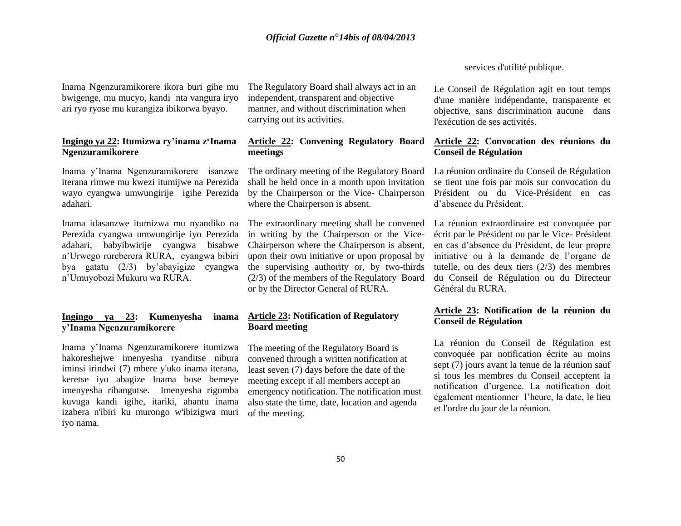Inama Ngenzuramikorere ikora buri gihe mu bwigenge, mu mucyo, kandi nta vangura iryo ari ryo ryose mu kurangiza ibikorwa byayo.

#### **Ingingo ya 22: Itumizwa ry'inama z'Inama Ngenzuramikorere**

Inama y'Inama Ngenzuramikorere isanzwe iterana rimwe mu kwezi itumijwe na Perezida wayo cyangwa umwungirije igihe Perezida adahari.

Inama idasanzwe itumizwa mu nyandiko na Perezida cyangwa umwungirije iyo Perezida adahari, babyibwirije cyangwa bisabwe n'Urwego rureberera RURA, cyangwa bibiri bya gatatu (2/3) by'abayigize cyangwa n'Umuyobozi Mukuru wa RURA.

#### **Ingingo ya 23: Kumenyesha inama y'Inama Ngenzuramikorere**

Inama y'Inama Ngenzuramikorere itumizwa hakoreshejwe imenyesha ryanditse nibura iminsi irindwi (7) mbere y'uko inama iterana, keretse iyo abagize Inama bose bemeye imenyesha ribangutse. Imenyesha rigomba kuvuga kandi igihe, itariki, ahantu inama izabera n'ibiri ku murongo w'ibizigwa muri iyo nama.

The Regulatory Board shall always act in an independent, transparent and objective manner, and without discrimination when carrying out its activities.

### **Article 22: Convening Regulatory Board meetings**

The ordinary meeting of the Regulatory Board shall be held once in a month upon invitation by the Chairperson or the Vice- Chairperson where the Chairperson is absent.

The extraordinary meeting shall be convened in writing by the Chairperson or the Vice-Chairperson where the Chairperson is absent, upon their own initiative or upon proposal by the supervising authority or, by two-thirds (2/3) of the members of the Regulatory Board or by the Director General of RURA.

#### **Article 23: Notification of Regulatory Board meeting**

The meeting of the Regulatory Board is convened through a written notification at least seven (7) days before the date of the meeting except if all members accept an emergency notification. The notification must also state the time, date, location and agenda of the meeting.

services d'utilité publique.

Le Conseil de Régulation agit en tout temps d'une manière indépendante, transparente et objective, sans discrimination aucune dans l'exécution de ses activités.

#### **Article 22: Convocation des réunions du Conseil de Régulation**

La réunion ordinaire du Conseil de Régulation se tient une fois par mois sur convocation du Président ou du Vice-Président en cas d'absence du Président.

La réunion extraordinaire est convoquée par écrit par le Président ou par le Vice- Président en cas d'absence du Président, de leur propre initiative ou à la demande de l'organe de tutelle, ou des deux tiers (2/3) des membres du Conseil de Régulation ou du Directeur Général du RURA.

#### **Article 23: Notification de la réunion du Conseil de Régulation**

La réunion du Conseil de Régulation est convoquée par notification écrite au moins sept (7) jours avant la tenue de la réunion sauf si tous les membres du Conseil acceptent la notification d'urgence. La notification doit également mentionner l'heure, la date, le lieu et l'ordre du jour de la réunion.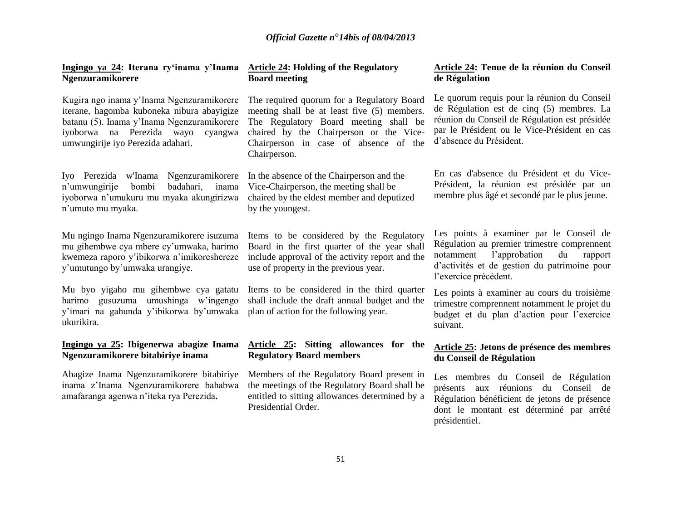| Ingingo ya 24: Iterana ry'inama y'Inama<br><b>Ngenzuramikorere</b>                                                                                                                                                 | <b>Article 24: Holding of the Regulatory</b><br><b>Board meeting</b>                                                                                                                                                                   | Article 24: Tenue de la réunion du Conseil<br>de Régulation                                                                                                                                                          |
|--------------------------------------------------------------------------------------------------------------------------------------------------------------------------------------------------------------------|----------------------------------------------------------------------------------------------------------------------------------------------------------------------------------------------------------------------------------------|----------------------------------------------------------------------------------------------------------------------------------------------------------------------------------------------------------------------|
| Kugira ngo inama y'Inama Ngenzuramikorere<br>iterane, hagomba kuboneka nibura abayigize<br>batanu (5). Inama y'Inama Ngenzuramikorere<br>iyoborwa na Perezida wayo<br>cyangwa<br>umwungirije iyo Perezida adahari. | The required quorum for a Regulatory Board<br>meeting shall be at least five (5) members.<br>The Regulatory Board meeting shall be<br>chaired by the Chairperson or the Vice-<br>Chairperson in case of absence of the<br>Chairperson. | Le quorum requis pour la réunion du Conseil<br>de Régulation est de cinq (5) membres. La<br>réunion du Conseil de Régulation est présidée<br>par le Président ou le Vice-Président en cas<br>d'absence du Président. |
| Iyo Perezida w'Inama<br>Ngenzuramikorere<br>n'umwungirije<br>bombi<br>badahari,<br>inama<br>iyoborwa n'umukuru mu myaka akungirizwa<br>n'umuto mu myaka.                                                           | In the absence of the Chairperson and the<br>Vice-Chairperson, the meeting shall be<br>chaired by the eldest member and deputized<br>by the youngest.                                                                                  | En cas d'absence du Président et du Vice-<br>Président, la réunion est présidée par un<br>membre plus âgé et secondé par le plus jeune.                                                                              |
| Mu ngingo Inama Ngenzuramikorere isuzuma<br>mu gihembwe cya mbere cy'umwaka, harimo<br>kwemeza raporo y'ibikorwa n'imikoreshereze<br>y'umutungo by'umwaka urangiye.                                                | Items to be considered by the Regulatory<br>Board in the first quarter of the year shall<br>include approval of the activity report and the<br>use of property in the previous year.                                                   | Les points à examiner par le Conseil de<br>Régulation au premier trimestre comprennent<br>l'approbation<br>du<br>notamment<br>rapport<br>d'activités et de gestion du patrimoine pour<br>l'exercice précédent.       |
| Mu byo yigaho mu gihembwe cya gatatu<br>harimo gusuzuma umushinga w'ingengo<br>y'imari na gahunda y'ibikorwa by'umwaka<br>ukurikira.                                                                               | Items to be considered in the third quarter<br>shall include the draft annual budget and the<br>plan of action for the following year.                                                                                                 | Les points à examiner au cours du troisième<br>trimestre comprennent notamment le projet du<br>budget et du plan d'action pour l'exercice<br>suivant.                                                                |
| Ingingo ya 25: Ibigenerwa abagize Inama<br>Ngenzuramikorere bitabiriye inama                                                                                                                                       | Article 25: Sitting allowances for the<br><b>Regulatory Board members</b>                                                                                                                                                              | Article 25: Jetons de présence des membres<br>du Conseil de Régulation                                                                                                                                               |
| Abagize Inama Ngenzuramikorere bitabiriye<br>inama z'Inama Ngenzuramikorere bahabwa<br>amafaranga agenwa n'iteka rya Perezida.                                                                                     | Members of the Regulatory Board present in<br>the meetings of the Regulatory Board shall be<br>entitled to sitting allowances determined by a<br>Presidential Order.                                                                   | Les membres du Conseil de Régulation<br>présents<br>réunions du Conseil de<br>aux<br>Régulation bénéficient de jetons de présence<br>dont le montant est déterminé par arrêté<br>présidentiel.                       |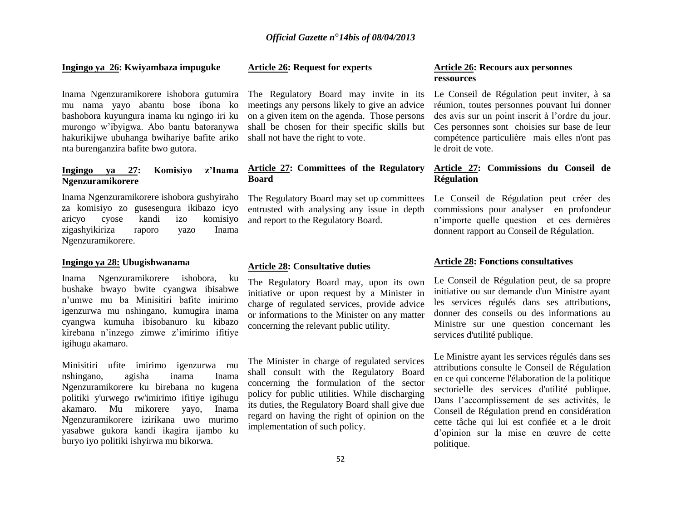#### **Ingingo ya 26: Kwiyambaza impuguke**

Inama Ngenzuramikorere ishobora gutumira mu nama yayo abantu bose ibona ko bashobora kuyungura inama ku ngingo iri ku murongo w'ibyigwa. Abo bantu batoranywa hakurikijwe ubuhanga bwihariye bafite ariko nta burenganzira bafite bwo gutora.

#### **Ingingo ya 27: Komisiyo z'Inama Ngenzuramikorere**

Inama Ngenzuramikorere ishobora gushyiraho za komisiyo zo gusesengura ikibazo icyo aricyo cyose kandi izo komisiyo zigashyikiriza raporo yazo Inama Ngenzuramikorere.

#### **Ingingo ya 28: Ubugishwanama**

Inama Ngenzuramikorere ishobora, ku bushake bwayo bwite cyangwa ibisabwe n'umwe mu ba Minisitiri bafite imirimo igenzurwa mu nshingano, kumugira inama cyangwa kumuha ibisobanuro ku kibazo kirebana n'inzego zimwe z'imirimo ifitiye igihugu akamaro.

Minisitiri ufite imirimo igenzurwa mu nshingano, agisha inama Inama Ngenzuramikorere ku birebana no kugena politiki y'urwego rw'imirimo ifitiye igihugu akamaro. Mu mikorere yayo, Inama Ngenzuramikorere izirikana uwo murimo yasabwe gukora kandi ikagira ijambo ku buryo iyo politiki ishyirwa mu bikorwa.

#### **Article 26: Request for experts**

The Regulatory Board may invite in its meetings any persons likely to give an advice on a given item on the agenda. Those persons shall be chosen for their specific skills but shall not have the right to vote.

#### **Article 27: Committees of the Regulatory Board**

The Regulatory Board may set up committees entrusted with analysing any issue in depth and report to the Regulatory Board.

#### **Article 28: Consultative duties**

The Regulatory Board may, upon its own initiative or upon request by a Minister in charge of regulated services, provide advice or informations to the Minister on any matter concerning the relevant public utility.

The Minister in charge of regulated services shall consult with the Regulatory Board concerning the formulation of the sector policy for public utilities. While discharging its duties, the Regulatory Board shall give due regard on having the right of opinion on the implementation of such policy.

#### **Article 26: Recours aux personnes ressources**

Le Conseil de Régulation peut inviter, à sa réunion, toutes personnes pouvant lui donner des avis sur un point inscrit à l'ordre du jour. Ces personnes sont choisies sur base de leur compétence particulière mais elles n'ont pas le droit de vote.

#### **Article 27: Commissions du Conseil de Régulation**

Le Conseil de Régulation peut créer des commissions pour analyser en profondeur n'importe quelle question et ces dernières donnent rapport au Conseil de Régulation.

#### **Article 28: Fonctions consultatives**

Le Conseil de Régulation peut, de sa propre initiative ou sur demande d'un Ministre ayant les services régulés dans ses attributions, donner des conseils ou des informations au Ministre sur une question concernant les services d'utilité publique.

Le Ministre ayant les services régulés dans ses attributions consulte le Conseil de Régulation en ce qui concerne l'élaboration de la politique sectorielle des services d'utilité publique. Dans l'accomplissement de ses activités, le Conseil de Régulation prend en considération cette tâche qui lui est confiée et a le droit d'opinion sur la mise en œuvre de cette politique.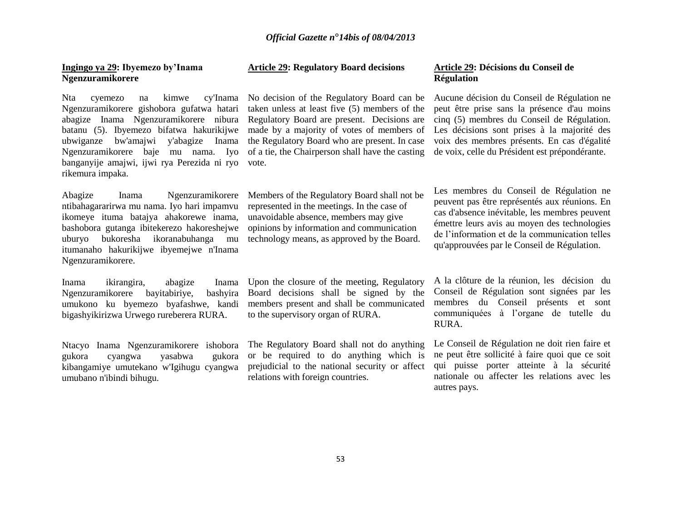#### **Ingingo ya 29: Ibyemezo by'Inama Ngenzuramikorere**

Nta cyemezo na kimwe cy'Inama No decision of the Regulatory Board can be Ngenzuramikorere gishobora gufatwa hatari abagize Inama Ngenzuramikorere nibura Regulatory Board are present. Decisions are batanu (5). Ibyemezo bifatwa hakurikijwe ubwiganze bw'amajwi y'abagize Inama Ngenzuramikorere baje mu nama. Iyo banganyije amajwi, ijwi rya Perezida ni ryo vote. rikemura impaka.

Abagize Inama Ngenzuramikorere ntibahagararirwa mu nama. Iyo hari impamvu ikomeye ituma batajya ahakorewe inama, bashobora gutanga ibitekerezo hakoreshejwe uburyo bukoresha ikoranabuhanga mu itumanaho hakurikijwe ibyemejwe n'Inama Ngenzuramikorere.

Inama ikirangira, abagize Inama Ngenzuramikorere bayitabiriye, bashyira umukono ku byemezo byafashwe, kandi bigashyikirizwa Urwego rureberera RURA.

Ntacyo Inama Ngenzuramikorere ishobora gukora cyangwa yasabwa gukora kibangamiye umutekano w'Igihugu cyangwa umubano n'ibindi bihugu.

#### **Article 29: Regulatory Board decisions**

taken unless at least five (5) members of the the Regulatory Board who are present. In case of a tie, the Chairperson shall have the casting

Members of the Regulatory Board shall not be represented in the meetings. In the case of unavoidable absence, members may give opinions by information and communication technology means, as approved by the Board.

Upon the closure of the meeting, Regulatory Board decisions shall be signed by the members present and shall be communicated to the supervisory organ of RURA.

The Regulatory Board shall not do anything or be required to do anything which is prejudicial to the national security or affect relations with foreign countries.

#### **Article 29: Décisions du Conseil de Régulation**

made by a majority of votes of members of Les décisions sont prises à la majorité des Aucune décision du Conseil de Régulation ne peut être prise sans la présence d'au moins cinq (5) membres du Conseil de Régulation. voix des membres présents. En cas d'égalité de voix, celle du Président est prépondérante.

> Les membres du Conseil de Régulation ne peuvent pas être représentés aux réunions. En cas d'absence inévitable, les membres peuvent émettre leurs avis au moyen des technologies de l'information et de la communication telles qu'approuvées par le Conseil de Régulation.

> A la clôture de la réunion, les décision du Conseil de Régulation sont signées par les membres du Conseil présents et sont communiquées à l'organe de tutelle du RURA.

> Le Conseil de Régulation ne doit rien faire et ne peut être sollicité à faire quoi que ce soit qui puisse porter atteinte à la sécurité nationale ou affecter les relations avec les autres pays.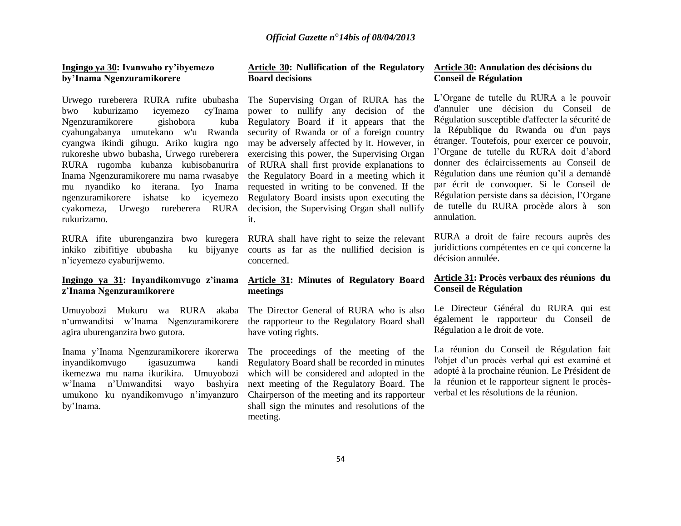#### **Ingingo ya 30: Ivanwaho ry'ibyemezo by'Inama Ngenzuramikorere**

Urwego rureberera RURA rufite ububasha The Supervising Organ of RURA has the bwo kuburizamo icyemezo cy'Inama Ngenzuramikorere gishobora kuba cyahungabanya umutekano w'u Rwanda cyangwa ikindi gihugu. Ariko kugira ngo rukoreshe ubwo bubasha, Urwego rureberera exercising this power, the Supervising Organ RURA rugomba kubanza kubisobanurira of RURA shall first provide explanations to Inama Ngenzuramikorere mu nama rwasabye the Regulatory Board in a meeting which it mu nyandiko ko iterana. Iyo Inama requested in writing to be convened. If the ngenzuramikorere ishatse ko icyemezo cyakomeza, Urwego rureberera RURA decision, the Supervising Organ shall nullify rukurizamo.

RURA ifite uburenganzira bwo kuregera RURA shall have right to seize the relevant inkiko zibifitiye ububasha n'icyemezo cyaburijwemo.

#### **Ingingo ya 31: Inyandikomvugo z'inama z'Inama Ngenzuramikorere**

Umuyobozi Mukuru wa RURA akaba n'umwanditsi w'Inama Ngenzuramikorere agira uburenganzira bwo gutora.

Inama y'Inama Ngenzuramikorere ikorerwa inyandikomvugo igasuzumwa kandi ikemezwa mu nama ikurikira. Umuyobozi w'Inama n'Umwanditsi wayo bashyira umukono ku nyandikomvugo n'imyanzuro by'Inama.

#### **Article 30: Nullification of the Regulatory Board decisions**

power to nullify any decision of the Regulatory Board if it appears that the security of Rwanda or of a foreign country may be adversely affected by it. However, in Regulatory Board insists upon executing the it.

ku bijyanye courts as far as the nullified decision is concerned.

#### **Article 31: Minutes of Regulatory Board meetings**

The Director General of RURA who is also the rapporteur to the Regulatory Board shall have voting rights.

The proceedings of the meeting of the Regulatory Board shall be recorded in minutes which will be considered and adopted in the next meeting of the Regulatory Board. The Chairperson of the meeting and its rapporteur shall sign the minutes and resolutions of the meeting.

#### **Article 30: Annulation des décisions du Conseil de Régulation**

L'Organe de tutelle du RURA a le pouvoir d'annuler une décision du Conseil de Régulation susceptible d'affecter la sécurité de la République du Rwanda ou d'un pays étranger. Toutefois, pour exercer ce pouvoir, l'Organe de tutelle du RURA doit d'abord donner des éclaircissements au Conseil de Régulation dans une réunion qu'il a demandé par écrit de convoquer. Si le Conseil de Régulation persiste dans sa décision, l'Organe de tutelle du RURA procède alors à son annulation.

RURA a droit de faire recours auprès des juridictions compétentes en ce qui concerne la décision annulée.

#### **Article 31: Procès verbaux des réunions du Conseil de Régulation**

Le Directeur Général du RURA qui est également le rapporteur du Conseil de Régulation a le droit de vote.

La réunion du Conseil de Régulation fait l'objet d'un procès verbal qui est examiné et adopté à la prochaine réunion. Le Président de la réunion et le rapporteur signent le procèsverbal et les résolutions de la réunion.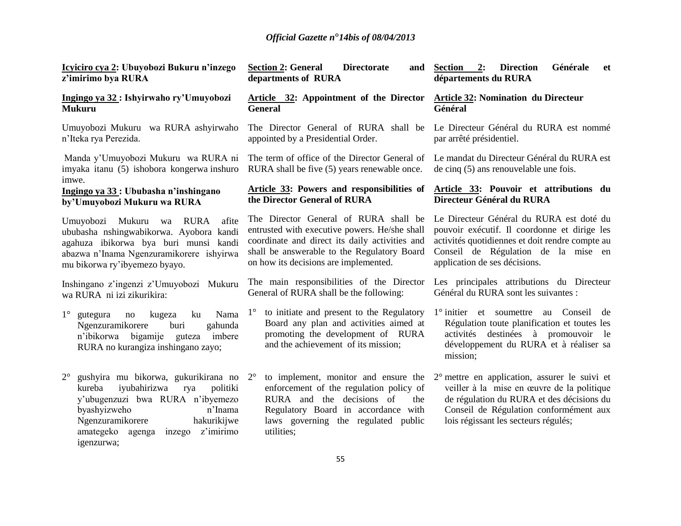| Icyiciro cya 2: Ubuyobozi Bukuru n'inzego<br>z'imirimo bya RURA                                                                                                                                                                                             | <b>Section 2: General</b><br><b>Directorate</b><br>and<br>departments of RURA                                                                                                                                                    | 2:<br><b>Direction</b><br>Générale<br>Section<br>et<br>départements du RURA                                                                                                                                                                                              |
|-------------------------------------------------------------------------------------------------------------------------------------------------------------------------------------------------------------------------------------------------------------|----------------------------------------------------------------------------------------------------------------------------------------------------------------------------------------------------------------------------------|--------------------------------------------------------------------------------------------------------------------------------------------------------------------------------------------------------------------------------------------------------------------------|
| Ingingo ya 32 : Ishyirwaho ry'Umuyobozi<br><b>Mukuru</b>                                                                                                                                                                                                    | Article 32: Appointment of the Director<br><b>General</b>                                                                                                                                                                        | <b>Article 32: Nomination du Directeur</b><br>Général                                                                                                                                                                                                                    |
| Umuyobozi Mukuru wa RURA ashyirwaho<br>n'Iteka rya Perezida.                                                                                                                                                                                                | The Director General of RURA shall be<br>appointed by a Presidential Order.                                                                                                                                                      | Le Directeur Général du RURA est nommé<br>par arrêté présidentiel.                                                                                                                                                                                                       |
| Manda y'Umuyobozi Mukuru wa RURA ni<br>imyaka itanu (5) ishobora kongerwa inshuro<br>imwe.                                                                                                                                                                  | The term of office of the Director General of<br>RURA shall be five (5) years renewable once.                                                                                                                                    | Le mandat du Directeur Général du RURA est<br>de cinq $(5)$ ans renouvelable une fois.                                                                                                                                                                                   |
| Ingingo ya 33: Ububasha n'inshingano<br>by'Umuyobozi Mukuru wa RURA                                                                                                                                                                                         | Article 33: Powers and responsibilities of<br>the Director General of RURA                                                                                                                                                       | Article 33: Pouvoir et attributions du<br>Directeur Général du RURA                                                                                                                                                                                                      |
| Umuyobozi Mukuru<br>wa RURA<br>afite<br>ububasha nshingwabikorwa. Ayobora kandi<br>agahuza ibikorwa bya buri munsi kandi<br>abazwa n'Inama Ngenzuramikorere ishyirwa<br>mu bikorwa ry'ibyemezo byayo.                                                       | The Director General of RURA shall be<br>entrusted with executive powers. He/she shall<br>coordinate and direct its daily activities and<br>shall be answerable to the Regulatory Board<br>on how its decisions are implemented. | Le Directeur Général du RURA est doté du<br>pouvoir exécutif. Il coordonne et dirige les<br>activités quotidiennes et doit rendre compte au<br>Conseil de Régulation de la mise en<br>application de ses décisions.                                                      |
| Inshingano z'ingenzi z'Umuyobozi Mukuru<br>wa RURA ni izi zikurikira:                                                                                                                                                                                       | The main responsibilities of the Director<br>General of RURA shall be the following:                                                                                                                                             | Les principales attributions du Directeur<br>Général du RURA sont les suivantes :                                                                                                                                                                                        |
| $1^{\circ}$<br>kugeza<br>ku<br>Nama<br>gutegura<br>no<br>Ngenzuramikorere<br>buri<br>gahunda<br>n'ibikorwa bigamije<br>imbere<br>guteza<br>RURA no kurangiza inshingano zayo;                                                                               | to initiate and present to the Regulatory<br>$1^{\circ}$<br>Board any plan and activities aimed at<br>promoting the development of RURA<br>and the achievement of its mission;                                                   | 1° initier et soumettre au Conseil de<br>Régulation toute planification et toutes les<br>activités destinées à promouvoir le<br>développement du RURA et à réaliser sa<br>mission;                                                                                       |
| gushyira mu bikorwa, gukurikirana no 2°<br>$2^{\circ}$<br>kureba<br>iyubahirizwa<br>rya<br>politiki<br>y'ubugenzuzi bwa RURA n'ibyemezo<br>byashyizweho<br>n'Inama<br>Ngenzuramikorere<br>hakurikijwe<br>amategeko agenga inzego<br>z'imirimo<br>igenzurwa; | enforcement of the regulation policy of<br>RURA and the decisions of<br>the<br>Regulatory Board in accordance with<br>laws governing the regulated public<br>utilities;                                                          | to implement, monitor and ensure the $2^{\circ}$ mettre en application, assurer le suivi et<br>veiller à la mise en œuvre de la politique<br>de régulation du RURA et des décisions du<br>Conseil de Régulation conformément aux<br>lois régissant les secteurs régulés; |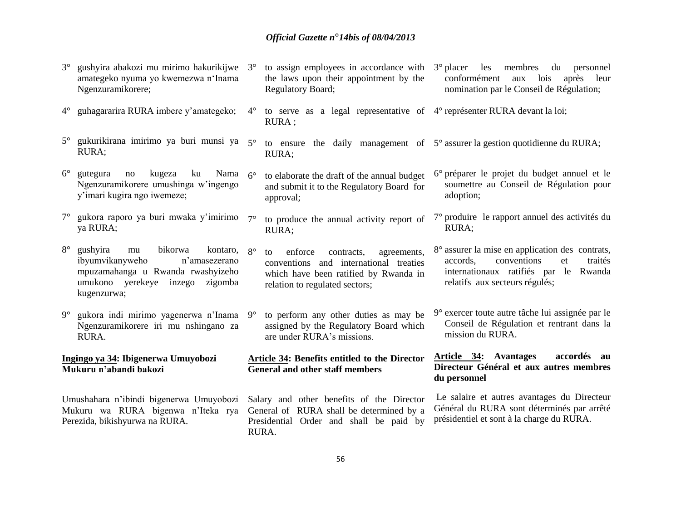3° gushyira abakozi mu mirimo hakurikijwe 3° to assign employees in accordance with 3° placer les membres du personnel

|                                                                                                                 | amategeko nyuma yo kwemezwa n'Inama<br>Ngenzuramikorere;                                                                                                                      |           | the laws upon their appointment by the<br>Regulatory Board;                                                                                                     | lois<br>conformément<br>aux<br>après<br>leur<br>nomination par le Conseil de Régulation;                                                                               |  |  |
|-----------------------------------------------------------------------------------------------------------------|-------------------------------------------------------------------------------------------------------------------------------------------------------------------------------|-----------|-----------------------------------------------------------------------------------------------------------------------------------------------------------------|------------------------------------------------------------------------------------------------------------------------------------------------------------------------|--|--|
| $4^{\circ}$                                                                                                     | guhagararira RURA imbere y'amategeko;                                                                                                                                         | $4^\circ$ | to serve as a legal representative of 4° représenter RURA devant la loi;<br>RURA ;                                                                              |                                                                                                                                                                        |  |  |
| $5^\circ$                                                                                                       | gukurikirana imirimo ya buri munsi ya 5°<br>RURA;                                                                                                                             |           | RURA;                                                                                                                                                           | to ensure the daily management of $5^{\circ}$ assurer la gestion quotidienne du RURA;                                                                                  |  |  |
| $6^{\circ}$                                                                                                     | kugeza<br>ku<br>Nama<br>gutegura<br>no<br>Ngenzuramikorere umushinga w'ingengo<br>y'imari kugira ngo iwemeze;                                                                 | $6^\circ$ | to elaborate the draft of the annual budget<br>and submit it to the Regulatory Board for<br>approval;                                                           | 6° préparer le projet du budget annuel et le<br>soumettre au Conseil de Régulation pour<br>adoption;                                                                   |  |  |
| $7^{\circ}$                                                                                                     | gukora raporo ya buri mwaka y'imirimo<br>ya RURA;                                                                                                                             | $7^\circ$ | to produce the annual activity report of<br>RURA;                                                                                                               | 7° produire le rapport annuel des activités du<br>RURA;                                                                                                                |  |  |
| $8^{\circ}$                                                                                                     | gushyira<br>bikorwa<br>mu<br>kontaro, $8^\circ$<br>ibyumvikanyweho<br>n'amasezerano<br>mpuzamahanga u Rwanda rwashyizeho<br>umukono yerekeye inzego<br>zigomba<br>kugenzurwa; |           | enforce<br>contracts,<br>agreements,<br>to<br>conventions and international treaties<br>which have been ratified by Rwanda in<br>relation to regulated sectors; | 8° assurer la mise en application des contrats,<br>conventions<br>accords.<br>et<br>traités<br>internationaux ratifiés par le Rwanda<br>relatifs aux secteurs régulés; |  |  |
| $9^\circ$                                                                                                       | gukora indi mirimo yagenerwa n'Inama 9°<br>Ngenzuramikorere iri mu nshingano za<br>RURA.                                                                                      |           | to perform any other duties as may be<br>assigned by the Regulatory Board which<br>are under RURA's missions.                                                   | 9° exercer toute autre tâche lui assignée par le<br>Conseil de Régulation et rentrant dans la<br>mission du RURA.                                                      |  |  |
| Ingingo ya 34: Ibigenerwa Umuyobozi<br>Mukuru n'abandi bakozi                                                   |                                                                                                                                                                               |           | Article 34: Benefits entitled to the Director<br><b>General and other staff members</b>                                                                         | <b>Article 34:</b> Avantages<br>accordés au<br>Directeur Général et aux autres membres<br>du personnel                                                                 |  |  |
| Umushahara n'ibindi bigenerwa Umuyobozi<br>Mukuru wa RURA bigenwa n'Iteka rya<br>Perezida, bikishyurwa na RURA. |                                                                                                                                                                               |           | Salary and other benefits of the Director<br>General of RURA shall be determined by a<br>Presidential Order and shall be paid by<br>RURA.                       | Le salaire et autres avantages du Directeur<br>Général du RURA sont déterminés par arrêté<br>présidentiel et sont à la charge du RURA.                                 |  |  |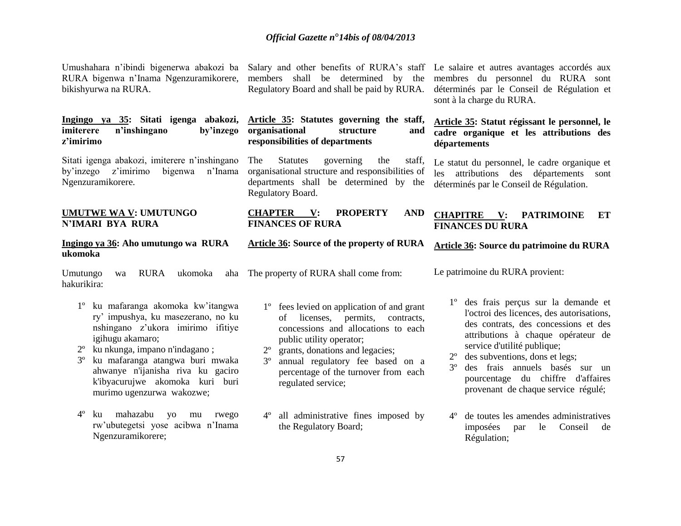Umushahara n'ibindi bigenerwa abakozi ba Salary and other benefits of RURA's staff Le salaire et autres avantages accordés aux RURA bigenwa n'Inama Ngenzuramikorere, members shall be determined by the membres du personnel du RURA sont bikishyurwa na RURA.

#### **Ingingo ya 35: Sitati igenga abakozi, imiterere n'inshingano by'inzego z'imirimo**

Sitati igenga abakozi, imiterere n'inshingano by'inzego z'imirimo bigenwa n'Inama Ngenzuramikorere*.*

#### **UMUTWE WA V: UMUTUNGO N'IMARI BYA RURA**

#### **Ingingo ya 36: Aho umutungo wa RURA ukomoka**

Umutungo wa RURA ukomoka aha The property of RURA shall come from: hakurikira:

- 1º ku mafaranga akomoka kw'itangwa ry' impushya, ku masezerano, no ku nshingano z'ukora imirimo ifitiye igihugu akamaro;
- 2º ku nkunga, impano n'indagano ;
- 3º ku mafaranga atangwa buri mwaka ahwanye n'ijanisha riva ku gaciro k'ibyacurujwe akomoka kuri buri murimo ugenzurwa wakozwe;
- 4º ku mahazabu yo mu rwego rw'ubutegetsi yose acibwa n'Inama Ngenzuramikorere;

Regulatory Board and shall be paid by RURA.

#### **Article 35: Statutes governing the staff, organisational structure and responsibilities of departments**

The Statutes governing the staff, organisational structure and responsibilities of departments shall be determined by the Regulatory Board.

#### **CHAPTER V: PROPERTY AND FINANCES OF RURA**

#### **Article 36: Source of the property of RURA**

1º fees levied on application of and grant of licenses, permits, contracts, concessions and allocations to each public utility operator;

- 2º grants, donations and legacies;
- 3º annual regulatory fee based on a percentage of the turnover from each regulated service;
- 4º all administrative fines imposed by the Regulatory Board;

déterminés par le Conseil de Régulation et sont à la charge du RURA.

#### **Article 35: Statut régissant le personnel, le cadre organique et les attributions des départements**

Le statut du personnel, le cadre organique et les attributions des départements sont déterminés par le Conseil de Régulation.

#### **CHAPITRE V: PATRIMOINE ET FINANCES DU RURA**

#### **Article 36: Source du patrimoine du RURA**

Le patrimoine du RURA provient:

- 1º des frais perçus sur la demande et l'octroi des licences, des autorisations, des contrats, des concessions et des attributions à chaque opérateur de service d'utilité publique;
- 2º des subventions, dons et legs;
- 3º des frais annuels basés sur un pourcentage du chiffre d'affaires provenant de chaque service régulé;
- 4º de toutes les amendes administratives imposées par le Conseil de Régulation;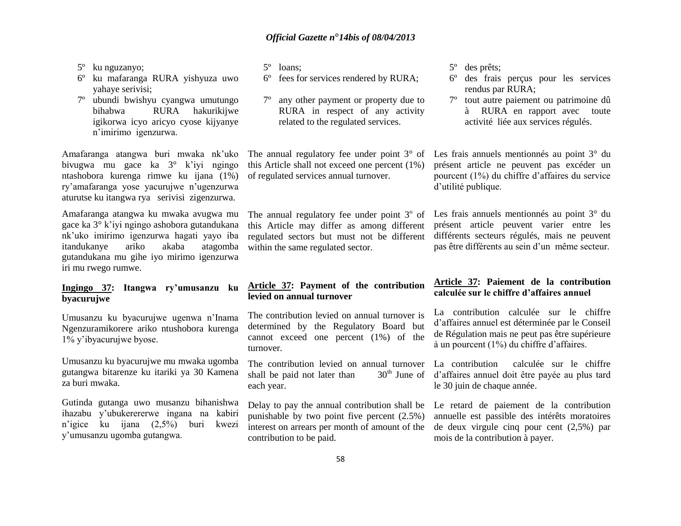- 5º ku nguzanyo;
- 6º ku mafaranga RURA yishyuza uwo yahaye serivisi;
- 7º ubundi bwishyu cyangwa umutungo bihabwa RURA hakurikijwe igikorwa icyo aricyo cyose kijyanye n'imirimo igenzurwa.

Amafaranga atangwa buri mwaka nk'uko bivugwa mu gace ka 3° k'iyi ngingo ntashobora kurenga rimwe ku ijana (1%) ry'amafaranga yose yacurujwe n'ugenzurwa aturutse ku itangwa rya serivisi zigenzurwa.

Amafaranga atangwa ku mwaka avugwa mu gace ka 3° k'iyi ngingo ashobora gutandukana nk'uko imirimo igenzurwa hagati yayo iba itandukanye ariko akaba atagomba gutandukana mu gihe iyo mirimo igenzurwa iri mu rwego rumwe.

#### **Ingingo 37: Itangwa ry'umusanzu ku byacurujwe**

Umusanzu ku byacurujwe ugenwa n'Inama Ngenzuramikorere ariko ntushobora kurenga 1% y'ibyacurujwe byose.

Umusanzu ku byacurujwe mu mwaka ugomba gutangwa bitarenze ku itariki ya 30 Kamena za buri mwaka.

Gutinda gutanga uwo musanzu bihanishwa ihazabu y'ubukerererwe ingana na kabiri n'igice ku ijana (2,5%) buri kwezi y'umusanzu ugomba gutangwa.

5º loans;

- 6º fees for services rendered by RURA;
- any other payment or property due to RURA in respect of any activity related to the regulated services.

this Article shall not exceed one percent (1%)

this Article may differ as among different regulated sectors but must not be different

of regulated services annual turnover.

within the same regulated sector.

5º des prêts;

- 6º des frais perçus pour les services rendus par RURA;
- 7º tout autre paiement ou patrimoine dû à RURA en rapport avec toute activité liée aux services régulés.

The annual regulatory fee under point 3° of Les frais annuels mentionnés au point 3° du présent article ne peuvent pas excéder un pourcent (1%) du chiffre d'affaires du service d'utilité publique.

The annual regulatory fee under point  $3^{\circ}$  of Les frais annuels mentionnés au point  $3^{\circ}$  du présent article peuvent varier entre les différents secteurs régulés, mais ne peuvent pas être différents au sein d'un même secteur.

#### **Article 37: Payment of the contribution levied on annual turnover**

The contribution levied on annual turnover is determined by the Regulatory Board but cannot exceed one percent (1%) of the turnover.

The contribution levied on annual turnover<br>shall be paid not later than  $30<sup>th</sup>$  June of shall be paid not later than each year.

Delay to pay the annual contribution shall be punishable by two point five percent (2.5%) interest on arrears per month of amount of the contribution to be paid.

#### **Article 37: Paiement de la contribution calculée sur le chiffre d'affaires annuel**

La contribution calculée sur le chiffre d'affaires annuel est déterminée par le Conseil de Régulation mais ne peut pas être supérieure à un pourcent (1%) du chiffre d'affaires.

La contribution calculée sur le chiffre d'affaires annuel doit être payée au plus tard le 30 juin de chaque année.

Le retard de paiement de la contribution annuelle est passible des intérêts moratoires de deux virgule cinq pour cent (2,5%) par mois de la contribution à payer.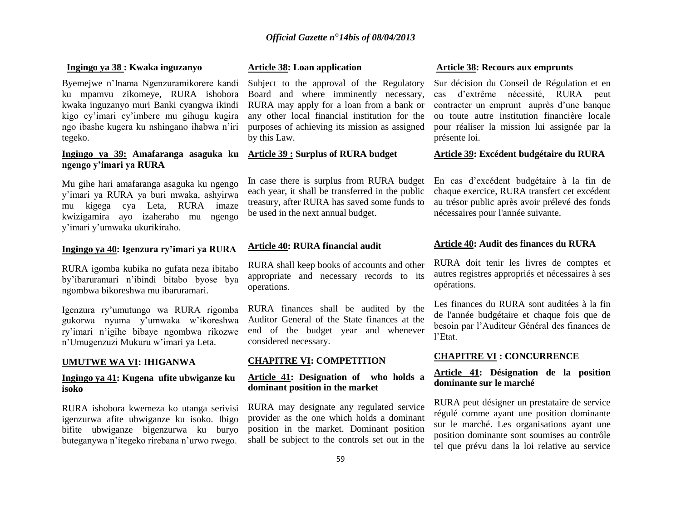#### **Ingingo ya 38 : Kwaka inguzanyo**

Byemejwe n'Inama Ngenzuramikorere kandi ku mpamvu zikomeye, RURA ishobora kwaka inguzanyo muri Banki cyangwa ikindi kigo cy'imari cy'imbere mu gihugu kugira ngo ibashe kugera ku nshingano ihabwa n'iri tegeko.

#### **Ingingo ya 39: Amafaranga asaguka ku ngengo y'imari ya RURA**

Mu gihe hari amafaranga asaguka ku ngengo y'imari ya RURA ya buri mwaka, ashyirwa mu kigega cya Leta, RURA imaze kwizigamira ayo izaheraho mu ngengo y'imari y'umwaka ukurikiraho.

#### **Ingingo ya 40: Igenzura ry'imari ya RURA**

RURA igomba kubika no gufata neza ibitabo by'ibaruramari n'ibindi bitabo byose bya ngombwa bikoreshwa mu ibaruramari.

Igenzura ry'umutungo wa RURA rigomba gukorwa nyuma y'umwaka w'ikoreshwa ry'imari n'igihe bibaye ngombwa rikozwe n'Umugenzuzi Mukuru w'imari ya Leta.

#### **UMUTWE WA VI: IHIGANWA**

#### **Ingingo ya 41: Kugena ufite ubwiganze ku isoko**

RURA ishobora kwemeza ko utanga serivisi igenzurwa afite ubwiganze ku isoko. Ibigo bifite ubwiganze bigenzurwa ku buryo buteganywa n'itegeko rirebana n'urwo rwego.

#### **Article 38: Loan application**

Subject to the approval of the Regulatory Board and where imminently necessary, RURA may apply for a loan from a bank or any other local financial institution for the purposes of achieving its mission as assigned by this Law.

### **Article 39 : Surplus of RURA budget**

In case there is surplus from RURA budget each year, it shall be transferred in the public treasury, after RURA has saved some funds to be used in the next annual budget.

#### **Article 40: RURA financial audit**

RURA shall keep books of accounts and other appropriate and necessary records to its operations.

RURA finances shall be audited by the Auditor General of the State finances at the end of the budget year and whenever considered necessary.

#### **CHAPITRE VI: COMPETITION**

#### **Article 41: Designation of who holds a dominant position in the market**

RURA may designate any regulated service provider as the one which holds a dominant position in the market. Dominant position shall be subject to the controls set out in the

#### **Article 38: Recours aux emprunts**

Sur décision du Conseil de Régulation et en cas d'extrême nécessité, RURA peut contracter un emprunt auprès d'une banque ou toute autre institution financière locale pour réaliser la mission lui assignée par la présente loi.

#### **Article 39: Excédent budgétaire du RURA**

En cas d'excédent budgétaire à la fin de chaque exercice, RURA transfert cet excédent au trésor public après avoir prélevé des fonds nécessaires pour l'année suivante.

#### **Article 40: Audit des finances du RURA**

RURA doit tenir les livres de comptes et autres registres appropriés et nécessaires à ses opérations.

Les finances du RURA sont auditées à la fin de l'année budgétaire et chaque fois que de besoin par l'Auditeur Général des finances de l'Etat.

#### **CHAPITRE VI : CONCURRENCE**

#### **Article 41: Désignation de la position dominante sur le marché**

RURA peut désigner un prestataire de service régulé comme ayant une position dominante sur le marché. Les organisations ayant une position dominante sont soumises au contrôle tel que prévu dans la loi relative au service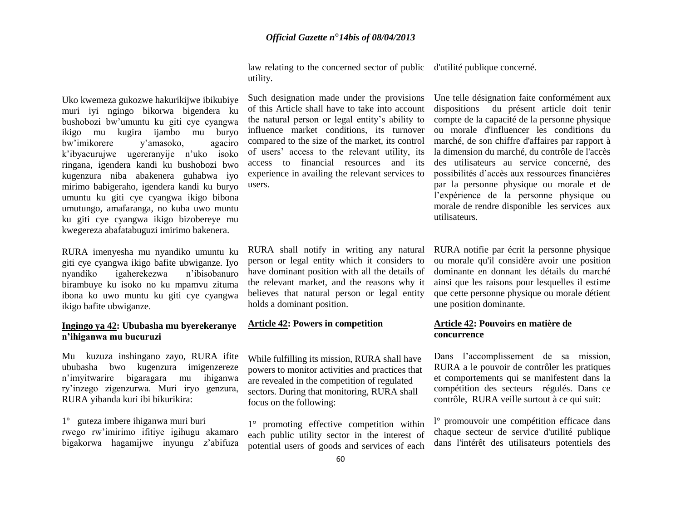Uko kwemeza gukozwe hakurikijwe ibikubiye muri iyi ngingo bikorwa bigendera ku bushobozi bw'umuntu ku giti cye cyangwa ikigo mu kugira ijambo mu buryo bw'imikorere y'amasoko, agaciro k'ibyacurujwe ugereranyije n'uko isoko ringana, igendera kandi ku bushobozi bwo kugenzura niba abakenera guhabwa iyo mirimo babigeraho, igendera kandi ku buryo umuntu ku giti cye cyangwa ikigo bibona umutungo, amafaranga, no kuba uwo muntu ku giti cye cyangwa ikigo bizobereye mu kwegereza abafatabuguzi imirimo bakenera.

RURA imenyesha mu nyandiko umuntu ku giti cye cyangwa ikigo bafite ubwiganze. Iyo nyandiko igaherekezwa n'ibisobanuro birambuye ku isoko no ku mpamvu zituma ibona ko uwo muntu ku giti cye cyangwa ikigo bafite ubwiganze.

#### **Ingingo ya 42: Ububasha mu byerekeranye n'ihiganwa mu bucuruzi**

Mu kuzuza inshingano zayo, RURA ifite ububasha bwo kugenzura imigenzereze n'imyitwarire bigaragara mu ihiganwa ry'inzego zigenzurwa. Muri iryo genzura, RURA yibanda kuri ibi bikurikira:

1º guteza imbere ihiganwa muri buri rwego rw'imirimo ifitiye igihugu akamaro bigakorwa hagamijwe inyungu z'abifuza

law relating to the concerned sector of public d'utilité publique concerné. utility.

Such designation made under the provisions of this Article shall have to take into account the natural person or legal entity's ability to influence market conditions, its turnover compared to the size of the market, its control of users' access to the relevant utility, its access to financial resources and its experience in availing the relevant services to users.

RURA shall notify in writing any natural person or legal entity which it considers to have dominant position with all the details of the relevant market, and the reasons why it believes that natural person or legal entity holds a dominant position.

### **Article 42: Powers in competition**

While fulfilling its mission, RURA shall have powers to monitor activities and practices that are revealed in the competition of regulated sectors. During that monitoring, RURA shall focus on the following:

1° promoting effective competition within each public utility sector in the interest of potential users of goods and services of each Une telle désignation faite conformément aux dispositions du présent article doit tenir compte de la capacité de la personne physique ou morale d'influencer les conditions du marché, de son chiffre d'affaires par rapport à la dimension du marché, du contrôle de l'accès des utilisateurs au service concerné, des possibilités d'accès aux ressources financières par la personne physique ou morale et de l'expérience de la personne physique ou morale de rendre disponible les services aux utilisateurs.

RURA notifie par écrit la personne physique ou morale qu'il considère avoir une position dominante en donnant les détails du marché ainsi que les raisons pour lesquelles il estime que cette personne physique ou morale détient une position dominante.

#### **Article 42: Pouvoirs en matière de concurrence**

Dans l'accomplissement de sa mission, RURA a le pouvoir de contrôler les pratiques et comportements qui se manifestent dans la compétition des secteurs régulés. Dans ce contrôle, RURA veille surtout à ce qui suit:

l° promouvoir une compétition efficace dans chaque secteur de service d'utilité publique dans l'intérêt des utilisateurs potentiels des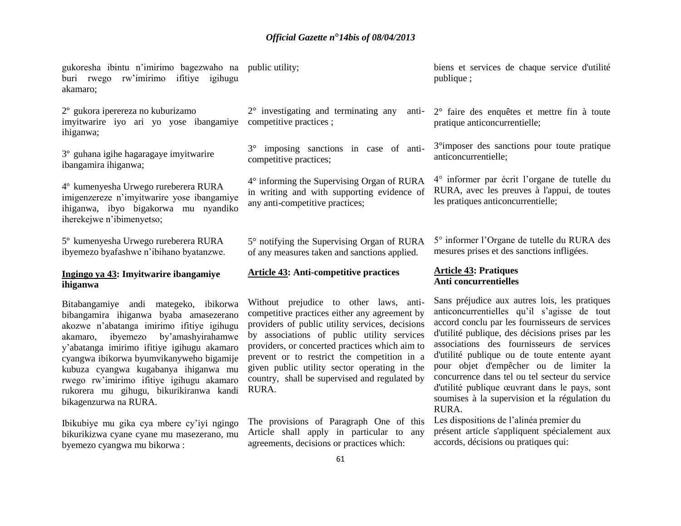gukoresha ibintu n'imirimo bagezwaho na public utility; buri rwego rw'imirimo ifitiye igihugu akamaro;

2º gukora iperereza no kuburizamo imyitwarire iyo ari yo yose ibangamiye competitive practices ; ihiganwa;

3º guhana igihe hagaragaye imyitwarire ibangamira ihiganwa;

4º kumenyesha Urwego rureberera RURA imigenzereze n'imyitwarire yose ibangamiye ihiganwa, ibyo bigakorwa mu nyandiko iherekejwe n'ibimenyetso;

5º kumenyesha Urwego rureberera RURA ibyemezo byafashwe n'ibihano byatanzwe.

#### **Ingingo ya 43: Imyitwarire ibangamiye ihiganwa**

Bitabangamiye andi mategeko, ibikorwa bibangamira ihiganwa byaba amasezerano akozwe n'abatanga imirimo ifitiye igihugu akamaro, ibyemezo by'amashyirahamwe y'abatanga imirimo ifitiye igihugu akamaro cyangwa ibikorwa byumvikanyweho bigamije kubuza cyangwa kugabanya ihiganwa mu rwego rw'imirimo ifitiye igihugu akamaro rukorera mu gihugu, bikurikiranwa kandi bikagenzurwa na RURA.

Ibikubiye mu gika cya mbere cy'iyi ngingo bikurikizwa cyane cyane mu masezerano, mu byemezo cyangwa mu bikorwa :

2° investigating and terminating any anti-

3° imposing sanctions in case of anticompetitive practices;

4° informing the Supervising Organ of RURA in writing and with supporting evidence of any anti-competitive practices;

5° notifying the Supervising Organ of RURA of any measures taken and sanctions applied.

#### **Article 43: Anti-competitive practices**

Without prejudice to other laws, anticompetitive practices either any agreement by providers of public utility services, decisions by associations of public utility services providers, or concerted practices which aim to prevent or to restrict the competition in a given public utility sector operating in the country, shall be supervised and regulated by RURA.

The provisions of Paragraph One of this Article shall apply in particular to any agreements, decisions or practices which:

biens et services de chaque service d'utilité publique ;

2° faire des enquêtes et mettre fin à toute pratique anticoncurrentielle;

3°imposer des sanctions pour toute pratique anticoncurrentielle;

4° informer par écrit l'organe de tutelle du RURA, avec les preuves à l'appui, de toutes les pratiques anticoncurrentielle;

5° informer l'Organe de tutelle du RURA des mesures prises et des sanctions infligées.

#### **Article 43: Pratiques Anti concurrentielles**

Sans préjudice aux autres lois, les pratiques anticoncurrentielles qu'il s'agisse de tout accord conclu par les fournisseurs de services d'utilité publique, des décisions prises par les associations des fournisseurs de services d'utilité publique ou de toute entente ayant pour objet d'empêcher ou de limiter la concurrence dans tel ou tel secteur du service d'utilité publique œuvrant dans le pays, sont soumises à la supervision et la régulation du RURA.

Les dispositions de l'alinéa premier du présent article s'appliquent spécialement aux accords, décisions ou pratiques qui: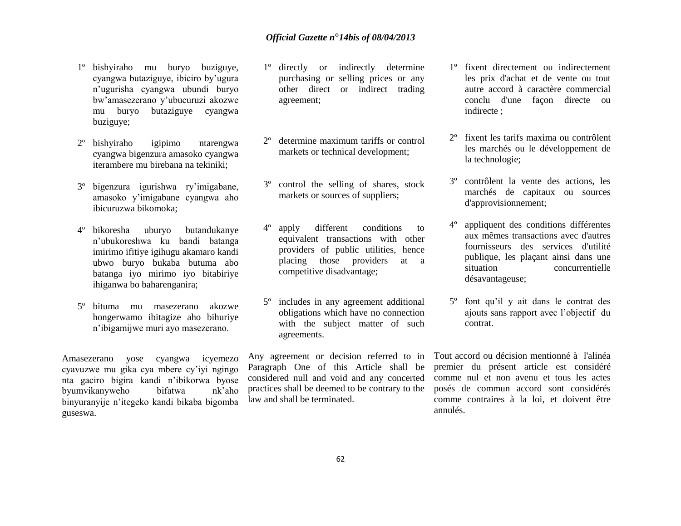- 1º bishyiraho mu buryo buziguye, cyangwa butaziguye, ibiciro by'ugura n'ugurisha cyangwa ubundi buryo bw'amasezerano y'ubucuruzi akozwe mu buryo butaziguye cyangwa buziguye;
- 2º bishyiraho igipimo ntarengwa cyangwa bigenzura amasoko cyangwa iterambere mu birebana na tekiniki;
- 3º bigenzura igurishwa ry'imigabane, amasoko y'imigabane cyangwa aho ibicuruzwa bikomoka;
- 4º bikoresha uburyo butandukanye n'ubukoreshwa ku bandi batanga imirimo ifitiye igihugu akamaro kandi ubwo buryo bukaba butuma abo batanga iyo mirimo iyo bitabiriye ihiganwa bo baharenganira;
- 5º bituma mu masezerano akozwe hongerwamo ibitagize aho bihuriye n'ibigamijwe muri ayo masezerano.

Amasezerano yose cyangwa icyemezo cyavuzwe mu gika cya mbere cy'iyi ngingo nta gaciro bigira kandi n'ibikorwa byose byumvikanyweho bifatwa nk'aho binyuranyije n'itegeko kandi bikaba bigomba guseswa.

- 1º directly or indirectly determine purchasing or selling prices or any other direct or indirect trading agreement;
- 2º determine maximum tariffs or control markets or technical development;
- 3º control the selling of shares, stock markets or sources of suppliers;
- apply different conditions to equivalent transactions with other providers of public utilities, hence placing those providers at a competitive disadvantage;
- 5º includes in any agreement additional obligations which have no connection with the subject matter of such agreements.

Any agreement or decision referred to in Paragraph One of this Article shall be considered null and void and any concerted practices shall be deemed to be contrary to the law and shall be terminated.

- 1º fixent directement ou indirectement les prix d'achat et de vente ou tout autre accord à caractère commercial conclu d'une façon directe ou indirecte ;
- 2º fixent les tarifs maxima ou contrôlent les marchés ou le développement de la technologie;
- 3º contrôlent la vente des actions, les marchés de capitaux ou sources d'approvisionnement;
- 4º appliquent des conditions différentes aux mêmes transactions avec d'autres fournisseurs des services d'utilité publique, les plaçant ainsi dans une situation concurrentielle désavantageuse;
- 5º font qu'il y ait dans le contrat des ajouts sans rapport avec l'objectif du contrat.

Tout accord ou décision mentionné à l'alinéa premier du présent article est considéré comme nul et non avenu et tous les actes posés de commun accord sont considérés comme contraires à la loi, et doivent être annulés.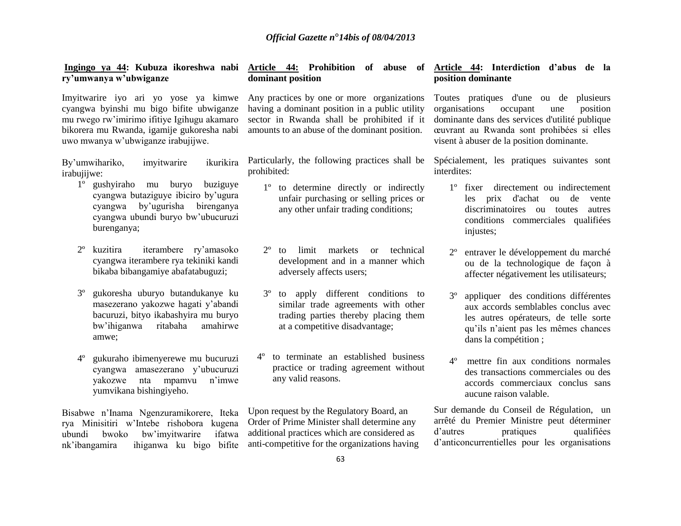# **ry'umwanya w'ubwiganze**

Imyitwarire iyo ari yo yose ya kimwe cyangwa byinshi mu bigo bifite ubwiganze mu rwego rw'imirimo ifitiye Igihugu akamaro bikorera mu Rwanda, igamije gukoresha nabi uwo mwanya w'ubwiganze irabujijwe.

By'umwihariko, imyitwarire ikurikira irabujijwe:

- 1º gushyiraho mu buryo buziguye cyangwa butaziguye ibiciro by'ugura cyangwa by'ugurisha birenganya cyangwa ubundi buryo bw'ubucuruzi burenganya;
- 2º kuzitira iterambere ry'amasoko cyangwa iterambere rya tekiniki kandi bikaba bibangamiye abafatabuguzi;
- 3º gukoresha uburyo butandukanye ku masezerano yakozwe hagati y'abandi bacuruzi, bityo ikabashyira mu buryo bw'ihiganwa ritabaha amahirwe amwe;
- 4º gukuraho ibimenyerewe mu bucuruzi cyangwa amasezerano y'ubucuruzi yakozwe nta mpamvu n'imwe yumvikana bishingiyeho.

Bisabwe n'Inama Ngenzuramikorere, Iteka rya Minisitiri w'Intebe rishobora kugena ubundi bwoko bw'imyitwarire ifatwa nk'ibangamira ihiganwa ku bigo bifite

# **dominant position**

Any practices by one or more organizations having a dominant position in a public utility sector in Rwanda shall be prohibited if it amounts to an abuse of the dominant position.

Particularly, the following practices shall be prohibited:

- 1º to determine directly or indirectly unfair purchasing or selling prices or any other unfair trading conditions;
- 2º to limit markets or technical development and in a manner which adversely affects users;
- 3º to apply different conditions to similar trade agreements with other trading parties thereby placing them at a competitive disadvantage;
- 4º to terminate an established business practice or trading agreement without any valid reasons.

Upon request by the Regulatory Board, an Order of Prime Minister shall determine any additional practices which are considered as anti-competitive for the organizations having

#### **Ingingo ya 44: Kubuza ikoreshwa nabi Article 44: Prohibition of abuse of Article 44: Interdiction d'abus de la position dominante**

Toutes pratiques d'une ou de plusieurs organisations occupant une position dominante dans des services d'utilité publique œuvrant au Rwanda sont prohibées si elles visent à abuser de la position dominante.

Spécialement, les pratiques suivantes sont interdites:

- 1º fixer directement ou indirectement les prix d'achat ou de vente discriminatoires ou toutes autres conditions commerciales qualifiées injustes;
- 2º entraver le développement du marché ou de la technologique de façon à affecter négativement les utilisateurs;
- 3º appliquer des conditions différentes aux accords semblables conclus avec les autres opérateurs, de telle sorte qu'ils n'aient pas les mêmes chances dans la compétition ;
- 4º mettre fin aux conditions normales des transactions commerciales ou des accords commerciaux conclus sans aucune raison valable.

Sur demande du Conseil de Régulation, un arrêté du Premier Ministre peut déterminer d'autres pratiques qualifiées d'anticoncurrentielles pour les organisations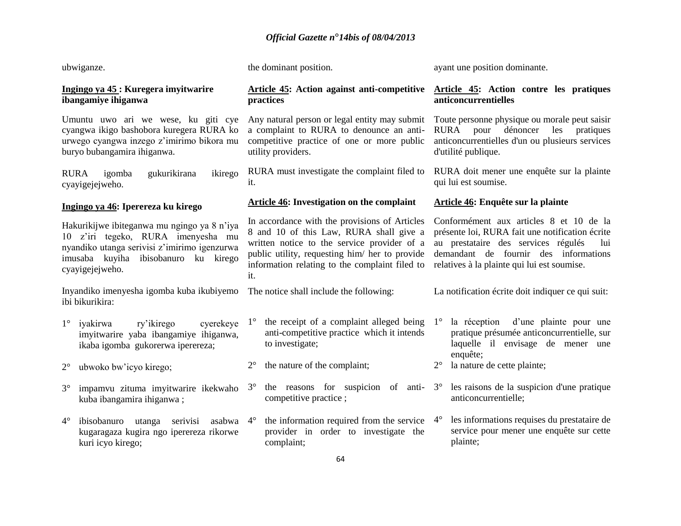ayant une position dominante.

the dominant position.

ubwiganze.

| Ingingo ya 45 : Kuregera imyitwarire<br>ibangamiye ihiganwa                                                                                                                                  | <b>Article 45:</b> Action against anti-competitive<br>practices                                                                                                                                                                                    | Article 45: Action contre les pratiques<br>anticoncurrentielles                                                                                                                                                                  |  |  |  |
|----------------------------------------------------------------------------------------------------------------------------------------------------------------------------------------------|----------------------------------------------------------------------------------------------------------------------------------------------------------------------------------------------------------------------------------------------------|----------------------------------------------------------------------------------------------------------------------------------------------------------------------------------------------------------------------------------|--|--|--|
| Umuntu uwo ari we wese, ku giti cye<br>cyangwa ikigo bashobora kuregera RURA ko<br>urwego cyangwa inzego z'imirimo bikora mu<br>buryo bubangamira ihiganwa.                                  | Any natural person or legal entity may submit<br>a complaint to RURA to denounce an anti-<br>competitive practice of one or more public<br>utility providers.                                                                                      | Toute personne physique ou morale peut saisir<br>dénoncer<br>pour<br>RURA<br>les<br>pratiques<br>anticoncurrentielles d'un ou plusieurs services<br>d'utilité publique.                                                          |  |  |  |
| <b>RURA</b><br>ikirego<br>igomba<br>gukurikirana<br>cyayigejejweho.                                                                                                                          | RURA must investigate the complaint filed to<br>it.                                                                                                                                                                                                | RURA doit mener une enquête sur la plainte<br>qui lui est soumise.                                                                                                                                                               |  |  |  |
| Ingingo ya 46: Iperereza ku kirego                                                                                                                                                           | Article 46: Investigation on the complaint                                                                                                                                                                                                         | Article 46: Enquête sur la plainte                                                                                                                                                                                               |  |  |  |
| Hakurikijwe ibiteganwa mu ngingo ya 8 n'iya<br>10 z'iri tegeko, RURA imenyesha mu<br>nyandiko utanga serivisi z'imirimo igenzurwa<br>imusaba kuyiha ibisobanuro ku kirego<br>cyayigejejweho. | In accordance with the provisions of Articles<br>8 and 10 of this Law, RURA shall give a<br>written notice to the service provider of a<br>public utility, requesting him/ her to provide<br>information relating to the complaint filed to<br>it. | Conformément aux articles 8 et 10 de la<br>présente loi, RURA fait une notification écrite<br>au prestataire des services régulés<br>lui<br>demandant de fournir des informations<br>relatives à la plainte qui lui est soumise. |  |  |  |
| Inyandiko imenyesha igomba kuba ikubiyemo<br>ibi bikurikira:                                                                                                                                 | The notice shall include the following:                                                                                                                                                                                                            | La notification écrite doit indiquer ce qui suit:                                                                                                                                                                                |  |  |  |
| ry'ikirego<br>cyerekeye<br>$1^{\circ}$<br>iyakirwa<br>imyitwarire yaba ibangamiye ihiganwa,<br>ikaba igomba gukorerwa iperereza;                                                             | the receipt of a complaint alleged being $1^\circ$<br>$1^{\circ}$<br>anti-competitive practice which it intends<br>to investigate;                                                                                                                 | la réception d'une plainte pour une<br>pratique présumée anticoncurrentielle, sur<br>laquelle il envisage de mener une<br>enquête;                                                                                               |  |  |  |
| $2^{\circ}$<br>ubwoko bw'icyo kirego;                                                                                                                                                        | the nature of the complaint;<br>$2^{\circ}$                                                                                                                                                                                                        | la nature de cette plainte;<br>$2^{\circ}$                                                                                                                                                                                       |  |  |  |
| $3^\circ$<br>impamvu zituma imyitwarire ikekwaho<br>kuba ibangamira ihiganwa;                                                                                                                | the reasons for suspicion of anti-<br>$3^\circ$<br>competitive practice;                                                                                                                                                                           | les raisons de la suspicion d'une pratique<br>$3^\circ$<br>anticoncurrentielle;                                                                                                                                                  |  |  |  |
| $4^{\circ}$<br>ibisobanuro utanga serivisi asabwa<br>kugaragaza kugira ngo iperereza rikorwe<br>kuri icyo kirego;                                                                            | the information required from the service<br>$4^{\circ}$<br>provider in order to investigate the<br>complaint;<br>C <sub>A</sub>                                                                                                                   | les informations requises du prestataire de<br>$4^\circ$<br>service pour mener une enquête sur cette<br>plainte;                                                                                                                 |  |  |  |
|                                                                                                                                                                                              |                                                                                                                                                                                                                                                    |                                                                                                                                                                                                                                  |  |  |  |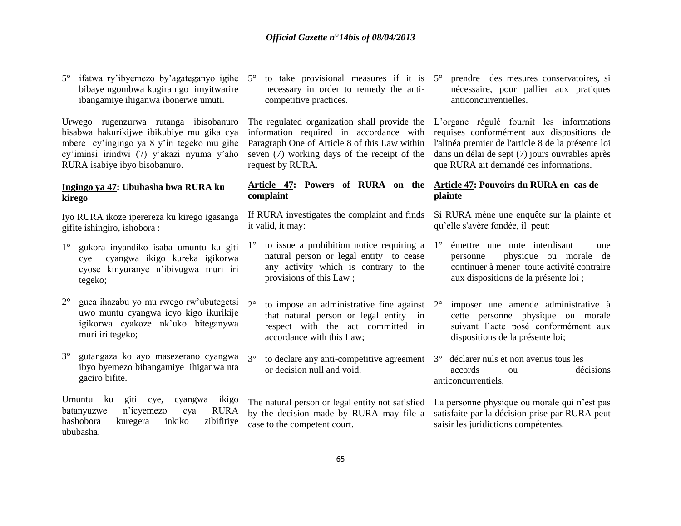bibaye ngombwa kugira ngo imyitwarire ibangamiye ihiganwa ibonerwe umuti.

Urwego rugenzurwa rutanga ibisobanuro bisabwa hakurikijwe ibikubiye mu gika cya mbere cy'ingingo ya 8 y'iri tegeko mu gihe cy'iminsi irindwi (7) y'akazi nyuma y'aho RURA isabiye ibyo bisobanuro.

#### **Ingingo ya 47: Ububasha bwa RURA ku kirego**

Iyo RURA ikoze iperereza ku kirego igasanga gifite ishingiro, ishobora :

- 1° gukora inyandiko isaba umuntu ku giti cye cyangwa ikigo kureka igikorwa cyose kinyuranye n'ibivugwa muri iri tegeko;
- $2^{\circ}$  guca ihazabu yo mu rwego rw'ubutegetsi  $2^{\circ}$ uwo muntu cyangwa icyo kigo ikurikije igikorwa cyakoze nk'uko biteganywa muri iri tegeko;
- 3° gutangaza ko ayo masezerano cyangwa ibyo byemezo bibangamiye ihiganwa nta gaciro bifite.

Umuntu ku giti cye, cyangwa ikigo batanyuzwe n'icyemezo cya RURA bashobora kuregera inkiko zibifitiye ububasha.

5° ifatwa ry'ibyemezo by'agateganyo igihe 5° to take provisional measures if it is necessary in order to remedy the anticompetitive practices.

> The regulated organization shall provide the L'organe régulé fournit les informations information required in accordance with Paragraph One of Article 8 of this Law within seven (7) working days of the receipt of the request by RURA.

#### **Article 47: Powers of RURA on the Article 47: Pouvoirs du RURA en cas de complaint**

If RURA investigates the complaint and finds it valid, it may:

- 1° to issue a prohibition notice requiring a 1° émettre une note interdisant une natural person or legal entity to cease any activity which is contrary to the provisions of this Law ;
- to impose an administrative fine against 2° that natural person or legal entity in respect with the act committed in accordance with this Law;
- 3° to declare any anti-competitive agreement 3° déclarer nuls et non avenus tous les or decision null and void.

The natural person or legal entity not satisfied by the decision made by RURA may file a case to the competent court.

5° prendre des mesures conservatoires, si nécessaire, pour pallier aux pratiques anticoncurrentielles.

requises conformément aux dispositions de l'alinéa premier de l'article 8 de la présente loi dans un délai de sept (7) jours ouvrables après que RURA ait demandé ces informations.

# **plainte**

Si RURA mène une enquête sur la plainte et qu'elle s'avère fondée, il peut:

- personne physique ou morale de continuer à mener toute activité contraire aux dispositions de la présente loi ;
- 2° imposer une amende administrative à cette personne physique ou morale suivant l'acte posé conformément aux dispositions de la présente loi;
- accords ou décisions anticoncurrentiels.

La personne physique ou morale qui n'est pas satisfaite par la décision prise par RURA peut saisir les juridictions compétentes.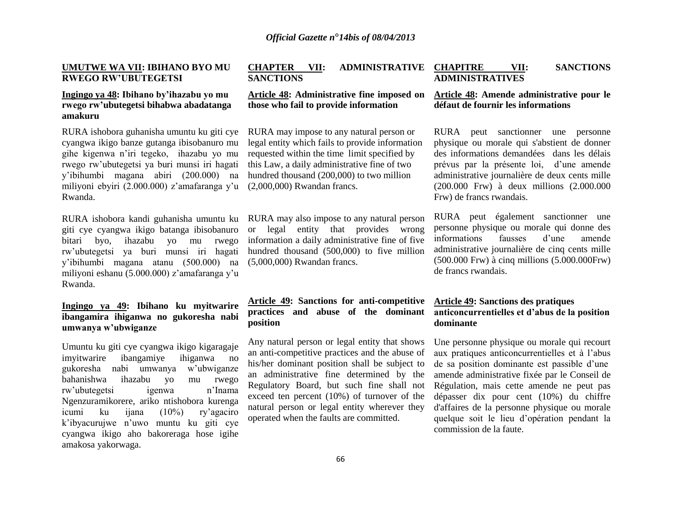#### **UMUTWE WA VII: IBIHANO BYO MU RWEGO RW'UBUTEGETSI**

#### **Ingingo ya 48: Ibihano by'ihazabu yo mu rwego rw'ubutegetsi bihabwa abadatanga amakuru**

RURA ishobora guhanisha umuntu ku giti cye cyangwa ikigo banze gutanga ibisobanuro mu gihe kigenwa n'iri tegeko, ihazabu yo mu rwego rw'ubutegetsi ya buri munsi iri hagati y'ibihumbi magana abiri (200.000) na miliyoni ebyiri (2.000.000) z'amafaranga y'u Rwanda.

giti cye cyangwa ikigo batanga ibisobanuro bitari byo, ihazabu yo mu rwego rw'ubutegetsi ya buri munsi iri hagati y'ibihumbi magana atanu (500.000) na miliyoni eshanu (5.000.000) z'amafaranga y'u Rwanda.

#### **Ingingo ya 49: Ibihano ku myitwarire ibangamira ihiganwa no gukoresha nabi umwanya w'ubwiganze**

Umuntu ku giti cye cyangwa ikigo kigaragaje imyitwarire ibangamiye ihiganwa no gukoresha nabi umwanya w'ubwiganze bahanishwa ihazabu yo mu rwego rw'ubutegetsi igenwa n'Inama Ngenzuramikorere, ariko ntishobora kurenga icumi ku ijana (10%) ry'agaciro k'ibyacurujwe n'uwo muntu ku giti cye cyangwa ikigo aho bakoreraga hose igihe amakosa yakorwaga.

## **SANCTIONS**

# **CHAPTER VII: ADMINISTRATIVE**

**Article 48: Administrative fine imposed on those who fail to provide information**

RURA may impose to any natural person or legal entity which fails to provide information requested within the time limit specified by this Law, a daily administrative fine of two hundred thousand (200,000) to two million (2,000,000) Rwandan francs.

RURA ishobora kandi guhanisha umuntu ku RURA may also impose to any natural person or legal entity that provides wrong information a daily administrative fine of five hundred thousand (500,000) to five million (5,000,000) Rwandan francs.

#### **Article 49: Sanctions for anti-competitive practices and abuse of the dominant position**

Any natural person or legal entity that shows an anti-competitive practices and the abuse of his/her dominant position shall be subject to an administrative fine determined by the Regulatory Board, but such fine shall not exceed ten percent (10%) of turnover of the natural person or legal entity wherever they operated when the faults are committed.

#### **CHAPITRE VII: SANCTIONS ADMINISTRATIVES**

#### **Article 48: Amende administrative pour le défaut de fournir les informations**

RURA peut sanctionner une personne physique ou morale qui s'abstient de donner des informations demandées dans les délais prévus par la présente loi, d'une amende administrative journalière de deux cents mille (200.000 Frw) à deux millions (2.000.000 Frw) de francs rwandais.

RURA peut également sanctionner une personne physique ou morale qui donne des informations fausses d'une amende administrative journalière de cinq cents mille (500.000 Frw) à cinq millions (5.000.000Frw) de francs rwandais.

#### **Article 49: Sanctions des pratiques anticoncurrentielles et d'abus de la position dominante**

Une personne physique ou morale qui recourt aux pratiques anticoncurrentielles et à l'abus de sa position dominante est passible d'une amende administrative fixée par le Conseil de Régulation, mais cette amende ne peut pas dépasser dix pour cent (10%) du chiffre d'affaires de la personne physique ou morale quelque soit le lieu d'opération pendant la commission de la faute.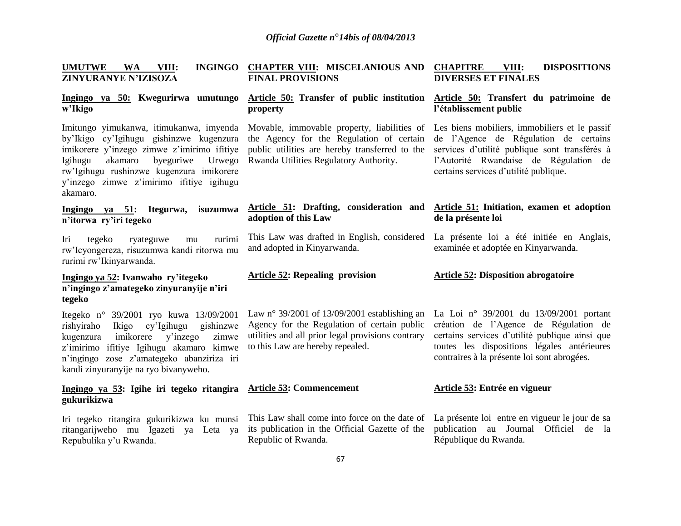| <b>UMUTWE</b>        | <b>WA</b> | VIII: |                         | INGINGO CHAPTER VIII: MISCELANIOUS AND CHAPITRE |                            | VIII: | <b>DISPOSITIONS</b> |
|----------------------|-----------|-------|-------------------------|-------------------------------------------------|----------------------------|-------|---------------------|
| ZINYURANYE N'IZISOZA |           |       | <b>FINAL PROVISIONS</b> |                                                 | <b>DIVERSES ET FINALES</b> |       |                     |

# **w'Ikigo**

by'Ikigo cy'Igihugu gishinzwe kugenzura the Agency for the Regulation of certain imikorere y'inzego zimwe z'imirimo ifitiye public utilities are hereby transferred to the Igihugu akamaro byeguriwe Urwego Rwanda Utilities Regulatory Authority. rw'Igihugu rushinzwe kugenzura imikorere y'inzego zimwe z'imirimo ifitiye igihugu akamaro.

#### **Ingingo ya 51: Itegurwa, isuzumwa n'itorwa ry'iri tegeko**

Iri tegeko ryateguwe mu rurimi rw'Icyongereza, risuzumwa kandi ritorwa mu rurimi rw'Ikinyarwanda.

#### **Ingingo ya 52: Ivanwaho ry'itegeko n'ingingo z'amategeko zinyuranyije n'iri tegeko**

Itegeko n° 39/2001 ryo kuwa 13/09/2001 rishyiraho Ikigo cy'Igihugu gishinzwe kugenzura imikorere y'inzego zimwe z'imirimo ifitiye Igihugu akamaro kimwe n'ingingo zose z'amategeko abanziriza iri kandi zinyuranyije na ryo bivanyweho.

#### **Ingingo ya 53: Igihe iri tegeko ritangira gukurikizwa**

ritangarijweho mu Igazeti ya Leta ya Repubulika y'u Rwanda.

# **property**

**adoption of this Law**

and adopted in Kinyarwanda.

**Article 52: Repealing provision**

to this Law are hereby repealed.

**Article 53: Commencement**

Republic of Rwanda.

#### **Ingingo ya 50: Kwegurirwa umutungo Article 50: Transfer of public institution Article 50: Transfert du patrimoine de l'établissement public**

Imitungo yimukanwa, itimukanwa, imyenda Movable, immovable property, liabilities of Les biens mobiliers, immobiliers et le passif de l'Agence de Régulation de certains services d'utilité publique sont transférés à l'Autorité Rwandaise de Régulation de certains services d'utilité publique.

#### **Article 51: Drafting, consideration and Article 51: Initiation, examen et adoption de la présente loi**

This Law was drafted in English, considered La présente loi a été initiée en Anglais, examinée et adoptée en Kinyarwanda.

#### **Article 52: Disposition abrogatoire**

Law n° 39/2001 of 13/09/2001 establishing an Agency for the Regulation of certain public utilities and all prior legal provisions contrary La Loi n° 39/2001 du 13/09/2001 portant création de l'Agence de Régulation de certains services d'utilité publique ainsi que toutes les dispositions légales antérieures contraires à la présente loi sont abrogées.

#### **Article 53: Entrée en vigueur**

Iri tegeko ritangira gukurikizwa ku munsi This Law shall come into force on the date of La présente loi entre en vigueur le jour de sa its publication in the Official Gazette of the publication au Journal Officiel de la République du Rwanda.